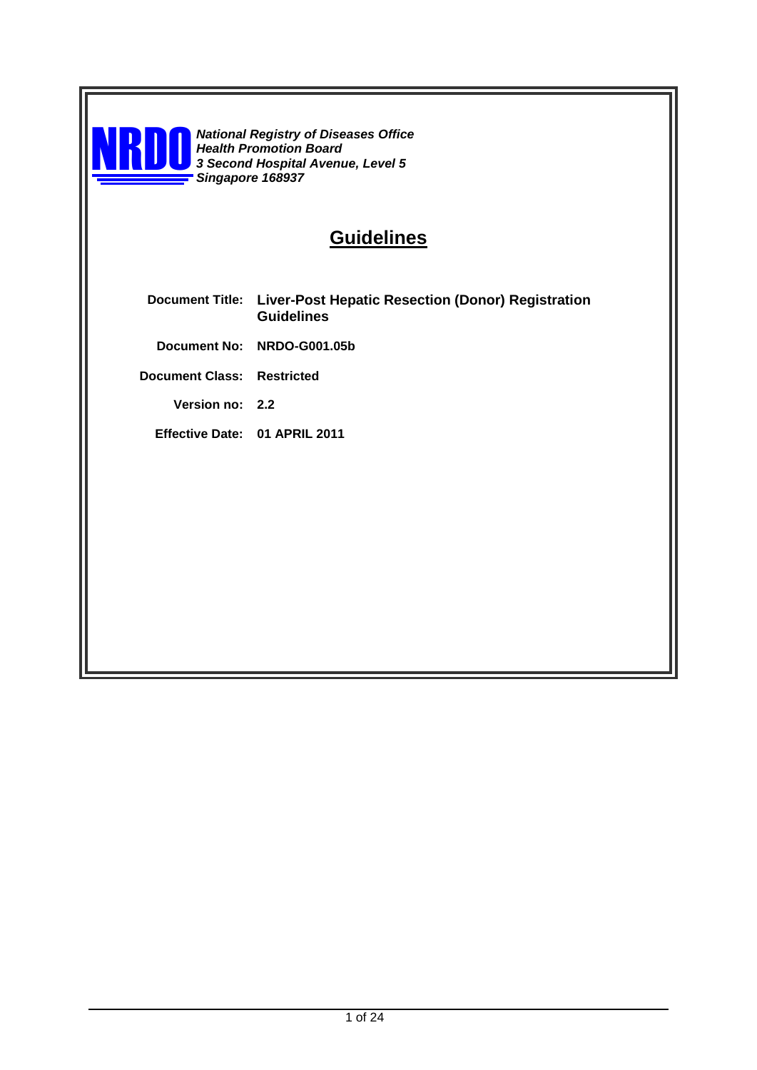

**National Registry of Diseases Office** *Health Promotion Board 3 Second Hospital Avenue, Level 5 Singapore 168937*

# **Guidelines**

- **Document Title: Liver-Post Hepatic Resection (Donor) Registration Guidelines**
	- **Document No: NRDO-G001.05b**

**Document Class: Restricted**

**Version no: 2.2**

**Effective Date: 01 APRIL 2011**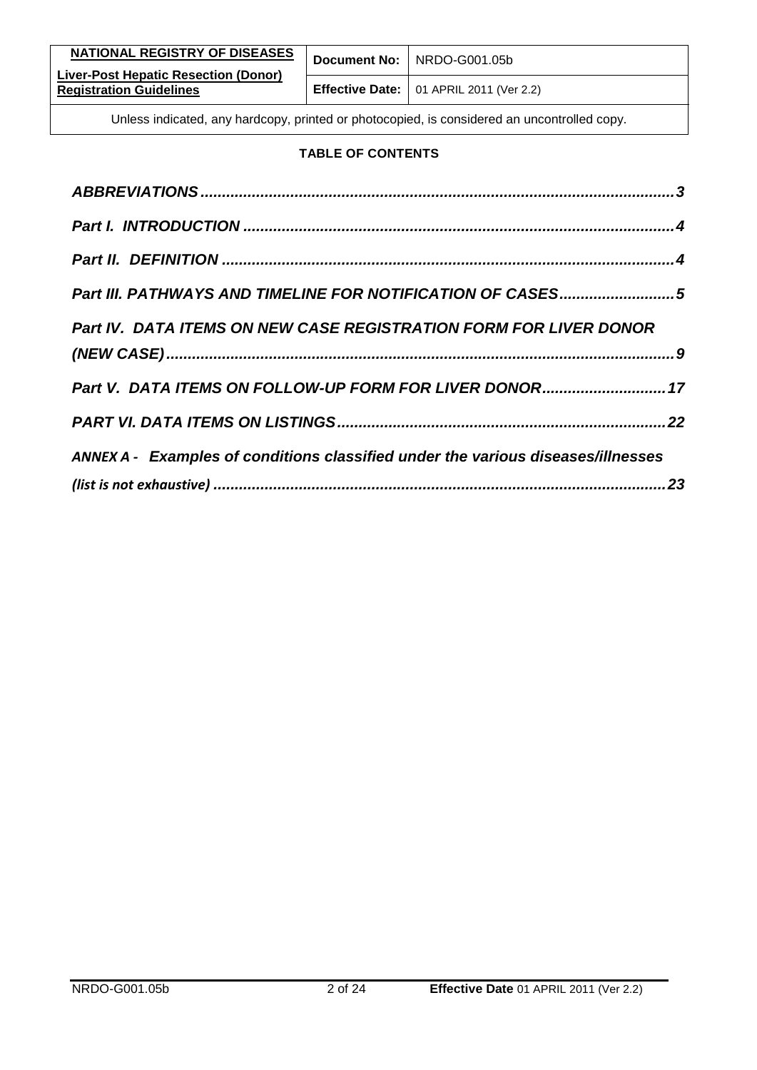| NATIONAL REGISTRY OF DISEASES                                                               |  | Document No:   NRDO-G001.05b                           |
|---------------------------------------------------------------------------------------------|--|--------------------------------------------------------|
| Liver-Post Hepatic Resection (Donor)<br><b>Registration Guidelines</b>                      |  | <b>Effective Date:</b> $\vert$ 01 APRIL 2011 (Ver 2.2) |
| Unless indicated, any hardcopy, printed or photocopied, is considered an uncontrolled copy. |  |                                                        |

#### **TABLE OF CONTENTS**

| Part III. PATHWAYS AND TIMELINE FOR NOTIFICATION OF CASES5                       |
|----------------------------------------------------------------------------------|
| Part IV. DATA ITEMS ON NEW CASE REGISTRATION FORM FOR LIVER DONOR                |
|                                                                                  |
| Part V. DATA ITEMS ON FOLLOW-UP FORM FOR LIVER DONOR 17                          |
|                                                                                  |
| ANNEX A - Examples of conditions classified under the various diseases/illnesses |
|                                                                                  |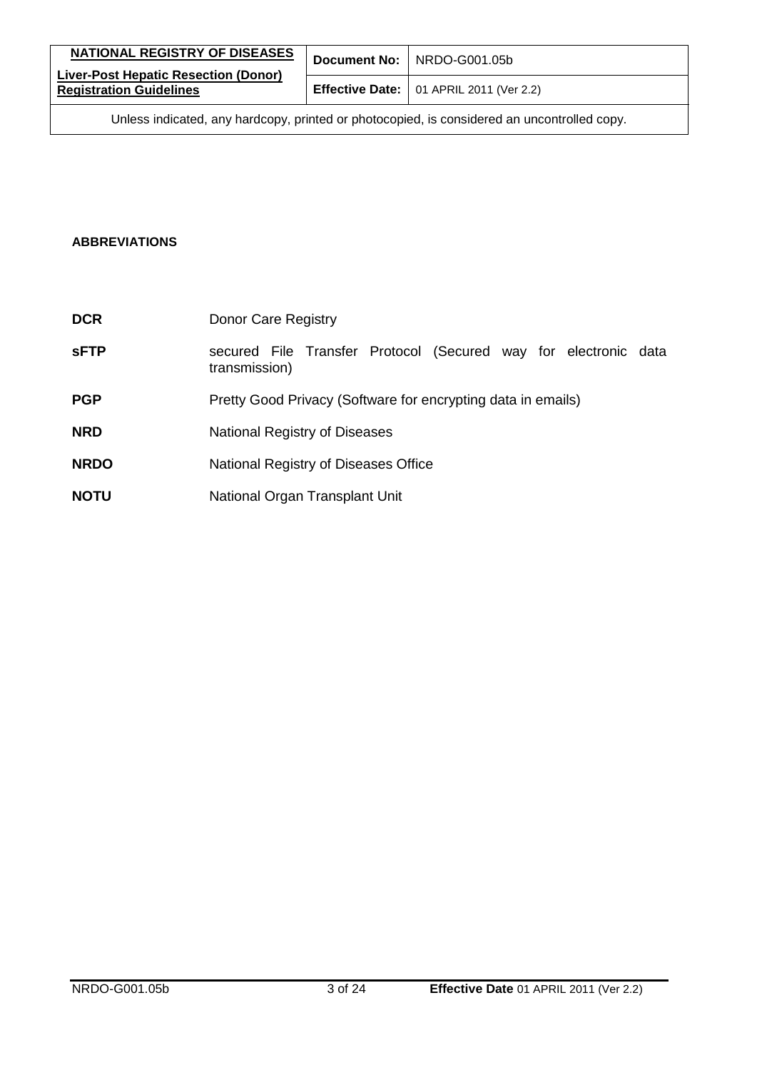| NATIONAL REGISTRY OF DISEASES                                                               |  | Document No: NRDO-G001.05b                             |
|---------------------------------------------------------------------------------------------|--|--------------------------------------------------------|
| <b>Liver-Post Hepatic Resection (Donor)</b><br><b>Registration Guidelines</b>               |  | <b>Effective Date:</b> $\vert$ 01 APRIL 2011 (Ver 2.2) |
| Unless indicated, any hardcopy, printed or photocopied, is considered an uncontrolled copy. |  |                                                        |

#### <span id="page-2-0"></span>**ABBREVIATIONS**

| <b>DCR</b>  | Donor Care Registry                                                              |
|-------------|----------------------------------------------------------------------------------|
| <b>sFTP</b> | secured File Transfer Protocol (Secured way for electronic data<br>transmission) |
| <b>PGP</b>  | Pretty Good Privacy (Software for encrypting data in emails)                     |
| <b>NRD</b>  | National Registry of Diseases                                                    |
| <b>NRDO</b> | National Registry of Diseases Office                                             |
| <b>NOTU</b> | National Organ Transplant Unit                                                   |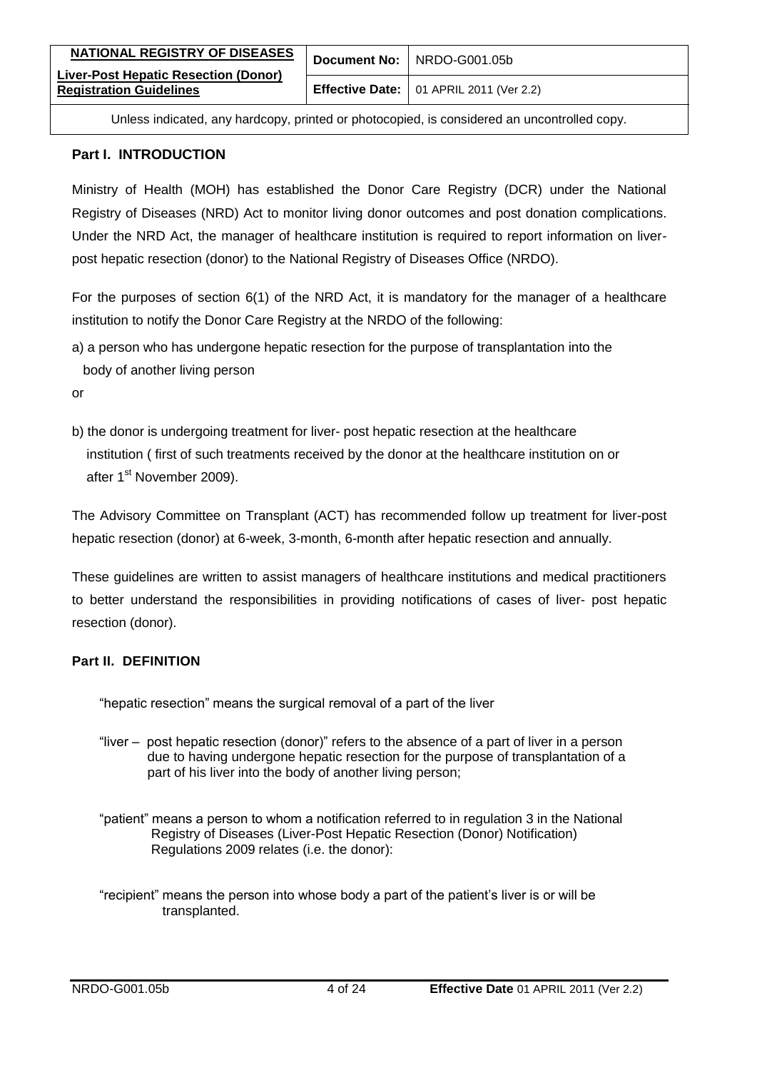| NATIONAL REGISTRY OF DISEASES<br><b>Liver-Post Hepatic Resection (Donor)</b> | Document No: NRDO-G001.05b                             |
|------------------------------------------------------------------------------|--------------------------------------------------------|
| <b>Registration Guidelines</b>                                               | <b>Effective Date:</b> $\vert$ 01 APRIL 2011 (Ver 2.2) |

#### <span id="page-3-0"></span>**Part I. INTRODUCTION**

Ministry of Health (MOH) has established the Donor Care Registry (DCR) under the National Registry of Diseases (NRD) Act to monitor living donor outcomes and post donation complications. Under the NRD Act, the manager of healthcare institution is required to report information on liverpost hepatic resection (donor) to the National Registry of Diseases Office (NRDO).

For the purposes of section 6(1) of the NRD Act, it is mandatory for the manager of a healthcare institution to notify the Donor Care Registry at the NRDO of the following:

a) a person who has undergone hepatic resection for the purpose of transplantation into the body of another living person

or

b) the donor is undergoing treatment for liver- post hepatic resection at the healthcare institution ( first of such treatments received by the donor at the healthcare institution on or after 1<sup>st</sup> November 2009).

The Advisory Committee on Transplant (ACT) has recommended follow up treatment for liver-post hepatic resection (donor) at 6-week, 3-month, 6-month after hepatic resection and annually.

These guidelines are written to assist managers of healthcare institutions and medical practitioners to better understand the responsibilities in providing notifications of cases of liver- post hepatic resection (donor).

#### <span id="page-3-1"></span>**Part II. DEFINITION**

"hepatic resection" means the surgical removal of a part of the liver

- "liver post hepatic resection (donor)" refers to the absence of a part of liver in a person due to having undergone hepatic resection for the purpose of transplantation of a part of his liver into the body of another living person;
- "patient" means a person to whom a notification referred to in regulation 3 in the National Registry of Diseases (Liver-Post Hepatic Resection (Donor) Notification) Regulations 2009 relates (i.e. the donor):
- "recipient" means the person into whose body a part of the patient's liver is or will be transplanted.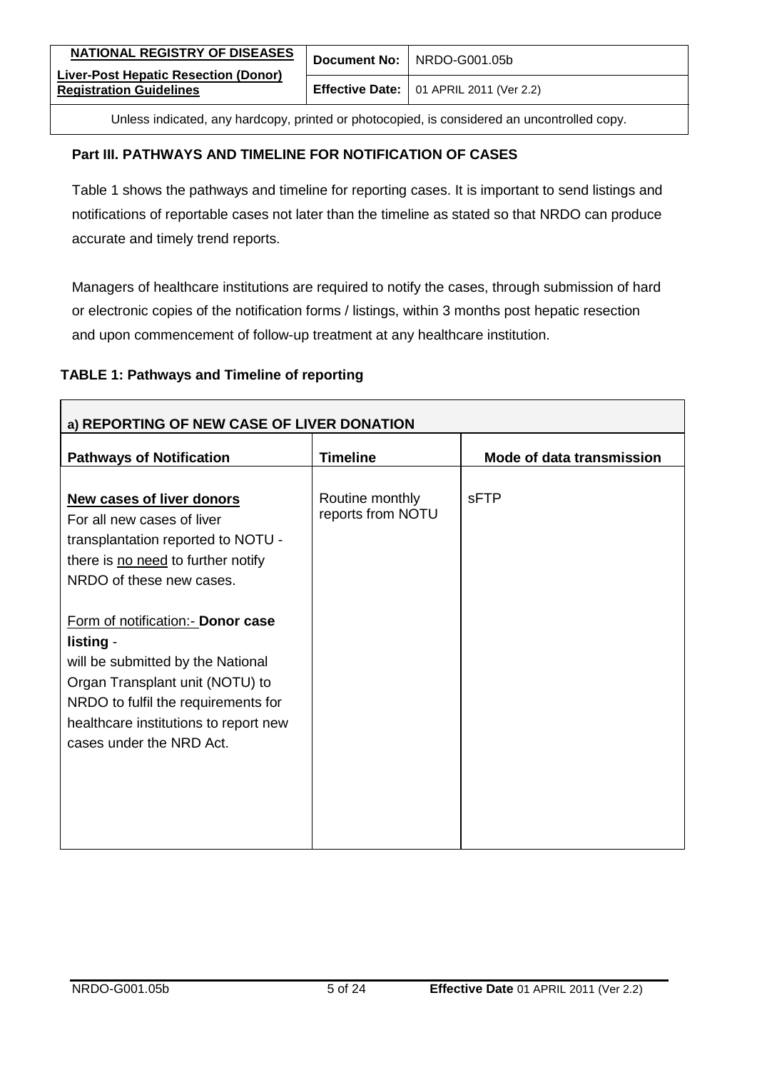| NATIONAL REGISTRY OF DISEASES                                          | Document No: NRDO-G001.05b                             |
|------------------------------------------------------------------------|--------------------------------------------------------|
| Liver-Post Hepatic Resection (Donor)<br><b>Registration Guidelines</b> | <b>Effective Date:</b> $\vert$ 01 APRIL 2011 (Ver 2.2) |
|                                                                        |                                                        |

#### <span id="page-4-0"></span>**Part III. PATHWAYS AND TIMELINE FOR NOTIFICATION OF CASES**

Table 1 shows the pathways and timeline for reporting cases. It is important to send listings and notifications of reportable cases not later than the timeline as stated so that NRDO can produce accurate and timely trend reports.

Managers of healthcare institutions are required to notify the cases, through submission of hard or electronic copies of the notification forms / listings, within 3 months post hepatic resection and upon commencement of follow-up treatment at any healthcare institution.

#### **TABLE 1: Pathways and Timeline of reporting**

| a) REPORTING OF NEW CASE OF LIVER DONATION                                                                                                                                                                                         |                                      |                           |  |
|------------------------------------------------------------------------------------------------------------------------------------------------------------------------------------------------------------------------------------|--------------------------------------|---------------------------|--|
| <b>Pathways of Notification</b>                                                                                                                                                                                                    | <b>Timeline</b>                      | Mode of data transmission |  |
| <b>New cases of liver donors</b><br>For all new cases of liver<br>transplantation reported to NOTU -<br>there is no need to further notify<br>NRDO of these new cases.                                                             | Routine monthly<br>reports from NOTU | <b>SFTP</b>               |  |
| Form of notification:- Donor case<br>listing -<br>will be submitted by the National<br>Organ Transplant unit (NOTU) to<br>NRDO to fulfil the requirements for<br>healthcare institutions to report new<br>cases under the NRD Act. |                                      |                           |  |
|                                                                                                                                                                                                                                    |                                      |                           |  |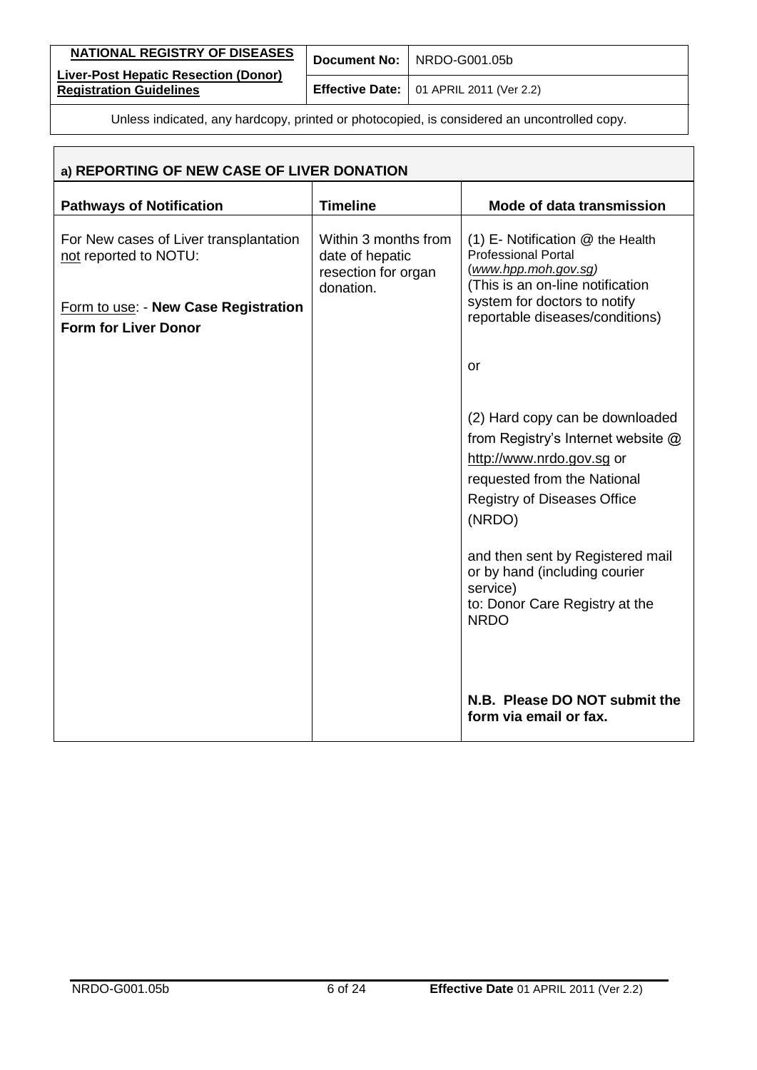| NATIONAL REGISTRY OF DISEASES                                          | Document No: NRDO-G001.05b                             |
|------------------------------------------------------------------------|--------------------------------------------------------|
| Liver-Post Hepatic Resection (Donor)<br><b>Registration Guidelines</b> | <b>Effective Date:</b> $\vert$ 01 APRIL 2011 (Ver 2.2) |

| a) REPORTING OF NEW CASE OF LIVER DONATION                          |                                                                             |                                                                                                                                                                                                                                                                                                                     |  |
|---------------------------------------------------------------------|-----------------------------------------------------------------------------|---------------------------------------------------------------------------------------------------------------------------------------------------------------------------------------------------------------------------------------------------------------------------------------------------------------------|--|
| <b>Pathways of Notification</b>                                     | <b>Timeline</b>                                                             | Mode of data transmission                                                                                                                                                                                                                                                                                           |  |
| For New cases of Liver transplantation<br>not reported to NOTU:     | Within 3 months from<br>date of hepatic<br>resection for organ<br>donation. | $(1)$ E- Notification $@$ the Health<br><b>Professional Portal</b><br>(www.hpp.moh.gov.sg)<br>(This is an on-line notification                                                                                                                                                                                      |  |
| Form to use: - New Case Registration<br><b>Form for Liver Donor</b> |                                                                             | system for doctors to notify<br>reportable diseases/conditions)                                                                                                                                                                                                                                                     |  |
|                                                                     |                                                                             | or                                                                                                                                                                                                                                                                                                                  |  |
|                                                                     |                                                                             | (2) Hard copy can be downloaded<br>from Registry's Internet website @<br>http://www.nrdo.gov.sg or<br>requested from the National<br><b>Registry of Diseases Office</b><br>(NRDO)<br>and then sent by Registered mail<br>or by hand (including courier<br>service)<br>to: Donor Care Registry at the<br><b>NRDO</b> |  |
|                                                                     |                                                                             | N.B. Please DO NOT submit the<br>form via email or fax.                                                                                                                                                                                                                                                             |  |

Ï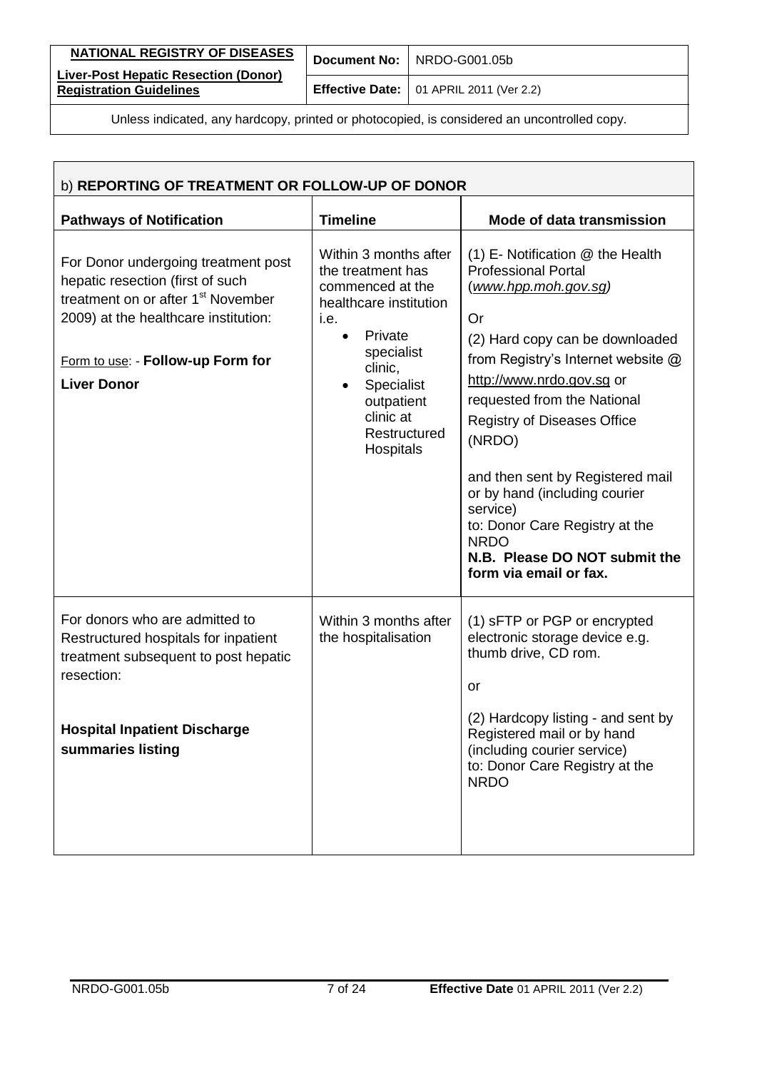| NATIONAL REGISTRY OF DISEASES                                                               |  | Document No: NRDO-G001.05b                             |
|---------------------------------------------------------------------------------------------|--|--------------------------------------------------------|
| <b>Liver-Post Hepatic Resection (Donor)</b><br><b>Registration Guidelines</b>               |  | <b>Effective Date:</b> $\vert$ 01 APRIL 2011 (Ver 2.2) |
| Unless indicated, any hardcopy, printed or photocopied, is considered an uncontrolled copy. |  |                                                        |

| b) REPORTING OF TREATMENT OR FOLLOW-UP OF DONOR                                                                                                                                                                              |                                                                                                                                                                                                            |                                                                                                                                                                                                                                                                                                                                                                                                                                                                                       |  |
|------------------------------------------------------------------------------------------------------------------------------------------------------------------------------------------------------------------------------|------------------------------------------------------------------------------------------------------------------------------------------------------------------------------------------------------------|---------------------------------------------------------------------------------------------------------------------------------------------------------------------------------------------------------------------------------------------------------------------------------------------------------------------------------------------------------------------------------------------------------------------------------------------------------------------------------------|--|
| <b>Pathways of Notification</b>                                                                                                                                                                                              | <b>Timeline</b>                                                                                                                                                                                            | Mode of data transmission                                                                                                                                                                                                                                                                                                                                                                                                                                                             |  |
| For Donor undergoing treatment post<br>hepatic resection (first of such<br>treatment on or after 1 <sup>st</sup> November<br>2009) at the healthcare institution:<br>Form to use: - Follow-up Form for<br><b>Liver Donor</b> | Within 3 months after<br>the treatment has<br>commenced at the<br>healthcare institution<br>i.e.<br>Private<br>specialist<br>clinic,<br>Specialist<br>outpatient<br>clinic at<br>Restructured<br>Hospitals | (1) E- Notification @ the Health<br><b>Professional Portal</b><br><u>(www.hpp.moh.gov.sg)</u><br>Or<br>(2) Hard copy can be downloaded<br>from Registry's Internet website @<br>http://www.nrdo.gov.sg or<br>requested from the National<br><b>Registry of Diseases Office</b><br>(NRDO)<br>and then sent by Registered mail<br>or by hand (including courier<br>service)<br>to: Donor Care Registry at the<br><b>NRDO</b><br>N.B. Please DO NOT submit the<br>form via email or fax. |  |
| For donors who are admitted to<br>Restructured hospitals for inpatient<br>treatment subsequent to post hepatic<br>resection:<br><b>Hospital Inpatient Discharge</b><br>summaries listing                                     | Within 3 months after<br>the hospitalisation                                                                                                                                                               | (1) sFTP or PGP or encrypted<br>electronic storage device e.g.<br>thumb drive, CD rom.<br>or<br>(2) Hardcopy listing - and sent by<br>Registered mail or by hand<br>(including courier service)<br>to: Donor Care Registry at the<br><b>NRDO</b>                                                                                                                                                                                                                                      |  |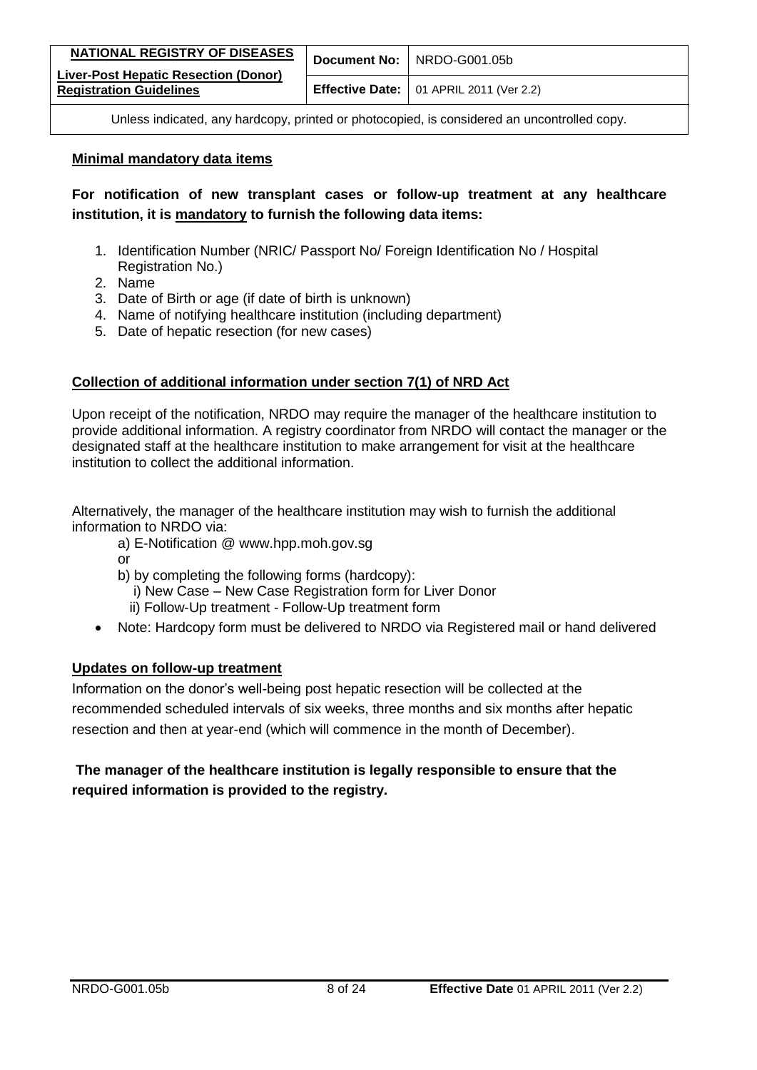| <b>NATIONAL REGISTRY OF DISEASES</b>                                   | Document No: NRDO-G001.05b                             |
|------------------------------------------------------------------------|--------------------------------------------------------|
| Liver-Post Hepatic Resection (Donor)<br><b>Registration Guidelines</b> | <b>Effective Date:</b> $\vert$ 01 APRIL 2011 (Ver 2.2) |
|                                                                        |                                                        |

#### **Minimal mandatory data items**

**For notification of new transplant cases or follow-up treatment at any healthcare institution, it is mandatory to furnish the following data items:**

- 1. Identification Number (NRIC/ Passport No/ Foreign Identification No / Hospital Registration No.)
- 2. Name
- 3. Date of Birth or age (if date of birth is unknown)
- 4. Name of notifying healthcare institution (including department)
- 5. Date of hepatic resection (for new cases)

#### **Collection of additional information under section 7(1) of NRD Act**

Upon receipt of the notification, NRDO may require the manager of the healthcare institution to provide additional information. A registry coordinator from NRDO will contact the manager or the designated staff at the healthcare institution to make arrangement for visit at the healthcare institution to collect the additional information.

Alternatively, the manager of the healthcare institution may wish to furnish the additional information to NRDO via:

- a) E-Notification @ www.hpp.moh.gov.sg
- or
- b) by completing the following forms (hardcopy):
	- i) New Case New Case Registration form for Liver Donor
	- ii) Follow-Up treatment Follow-Up treatment form
- Note: Hardcopy form must be delivered to NRDO via Registered mail or hand delivered

### **Updates on follow-up treatment**

Information on the donor's well-being post hepatic resection will be collected at the recommended scheduled intervals of six weeks, three months and six months after hepatic resection and then at year-end (which will commence in the month of December).

### **The manager of the healthcare institution is legally responsible to ensure that the required information is provided to the registry.**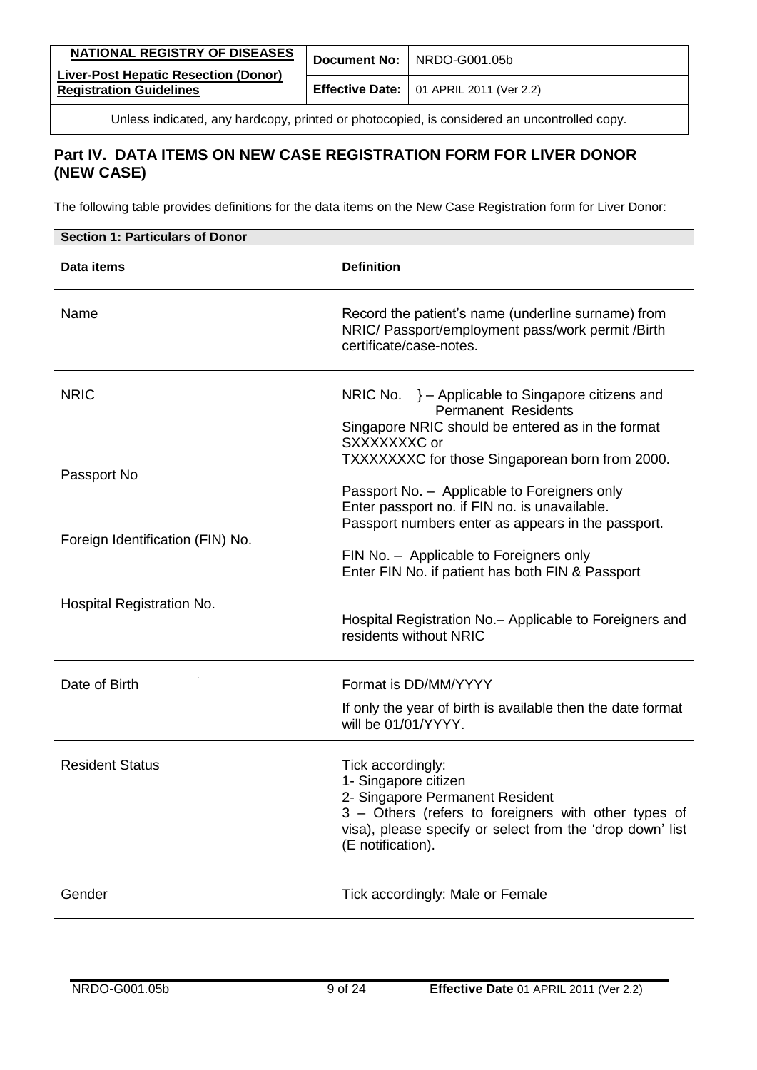| NATIONAL REGISTRY OF DISEASES                                                 | Document No: NRDO-G001.05b                             |
|-------------------------------------------------------------------------------|--------------------------------------------------------|
| <b>Liver-Post Hepatic Resection (Donor)</b><br><b>Registration Guidelines</b> | <b>Effective Date:</b> $\vert$ 01 APRIL 2011 (Ver 2.2) |

# <span id="page-8-0"></span>**Part IV. DATA ITEMS ON NEW CASE REGISTRATION FORM FOR LIVER DONOR (NEW CASE)**

The following table provides definitions for the data items on the New Case Registration form for Liver Donor:

| <b>Section 1: Particulars of Donor</b>                         |                                                                                                                                                                                                                                                                                                                                                                                                           |  |
|----------------------------------------------------------------|-----------------------------------------------------------------------------------------------------------------------------------------------------------------------------------------------------------------------------------------------------------------------------------------------------------------------------------------------------------------------------------------------------------|--|
| Data items                                                     | <b>Definition</b>                                                                                                                                                                                                                                                                                                                                                                                         |  |
| Name                                                           | Record the patient's name (underline surname) from<br>NRIC/ Passport/employment pass/work permit /Birth<br>certificate/case-notes.                                                                                                                                                                                                                                                                        |  |
| <b>NRIC</b><br>Passport No<br>Foreign Identification (FIN) No. | NRIC No. } - Applicable to Singapore citizens and<br><b>Permanent Residents</b><br>Singapore NRIC should be entered as in the format<br>SXXXXXXXC or<br>TXXXXXXXC for those Singaporean born from 2000.<br>Passport No. - Applicable to Foreigners only<br>Enter passport no. if FIN no. is unavailable.<br>Passport numbers enter as appears in the passport.<br>FIN No. - Applicable to Foreigners only |  |
| Hospital Registration No.                                      | Enter FIN No. if patient has both FIN & Passport<br>Hospital Registration No. - Applicable to Foreigners and<br>residents without NRIC                                                                                                                                                                                                                                                                    |  |
| Date of Birth                                                  | Format is DD/MM/YYYY<br>If only the year of birth is available then the date format<br>will be 01/01/YYYY.                                                                                                                                                                                                                                                                                                |  |
| <b>Resident Status</b>                                         | Tick accordingly:<br>1- Singapore citizen<br>2- Singapore Permanent Resident<br>3 - Others (refers to foreigners with other types of<br>visa), please specify or select from the 'drop down' list<br>(E notification).                                                                                                                                                                                    |  |
| Gender                                                         | Tick accordingly: Male or Female                                                                                                                                                                                                                                                                                                                                                                          |  |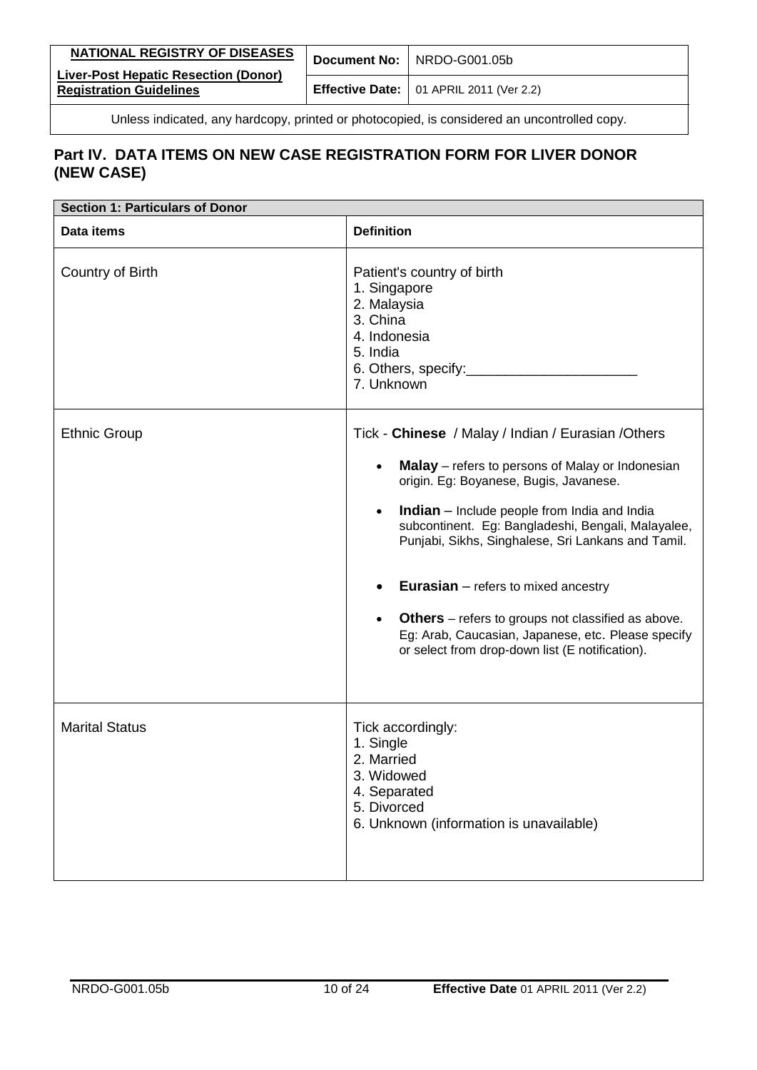| <b>Registration Guidelines</b><br><b>Effective Date:</b> $\vert$ 01 APRIL 2011 (Ver 2.2) | NATIONAL REGISTRY OF DISEASES               | Document No: NRDO-G001.05b |
|------------------------------------------------------------------------------------------|---------------------------------------------|----------------------------|
|                                                                                          | <b>Liver-Post Hepatic Resection (Donor)</b> |                            |

| <b>Section 1: Particulars of Donor</b> |                                                                                                                                                                                                                                                                                                                                                                                                                                                                                                                                                                      |  |
|----------------------------------------|----------------------------------------------------------------------------------------------------------------------------------------------------------------------------------------------------------------------------------------------------------------------------------------------------------------------------------------------------------------------------------------------------------------------------------------------------------------------------------------------------------------------------------------------------------------------|--|
| Data items                             | <b>Definition</b>                                                                                                                                                                                                                                                                                                                                                                                                                                                                                                                                                    |  |
| Country of Birth                       | Patient's country of birth<br>1. Singapore<br>2. Malaysia<br>3. China<br>4. Indonesia<br>5. India<br>6. Others, specify:<br>7. Unknown                                                                                                                                                                                                                                                                                                                                                                                                                               |  |
| <b>Ethnic Group</b>                    | Tick - Chinese / Malay / Indian / Eurasian / Others<br>Malay - refers to persons of Malay or Indonesian<br>origin. Eg: Boyanese, Bugis, Javanese.<br><b>Indian</b> - Include people from India and India<br>$\bullet$<br>subcontinent. Eg: Bangladeshi, Bengali, Malayalee,<br>Punjabi, Sikhs, Singhalese, Sri Lankans and Tamil.<br><b>Eurasian</b> $-$ refers to mixed ancestry<br><b>Others</b> – refers to groups not classified as above.<br>$\bullet$<br>Eg: Arab, Caucasian, Japanese, etc. Please specify<br>or select from drop-down list (E notification). |  |
| <b>Marital Status</b>                  | Tick accordingly:<br>1. Single<br>2. Married<br>3. Widowed<br>4. Separated<br>5. Divorced<br>6. Unknown (information is unavailable)                                                                                                                                                                                                                                                                                                                                                                                                                                 |  |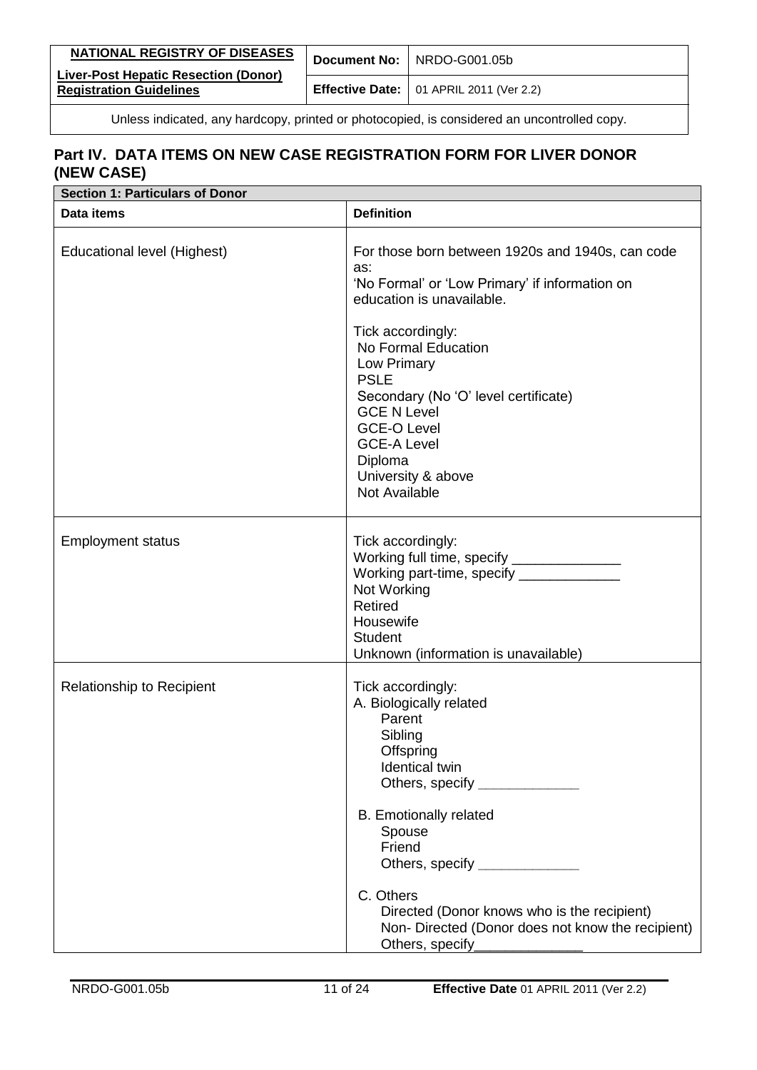| NATIONAL REGISTRY OF DISEASES                                                 |  | Document No: NRDO-G001.05b                             |
|-------------------------------------------------------------------------------|--|--------------------------------------------------------|
| <b>Liver-Post Hepatic Resection (Donor)</b><br><b>Registration Guidelines</b> |  | <b>Effective Date:</b> $\vert$ 01 APRIL 2011 (Ver 2.2) |

| <b>Section 1: Particulars of Donor</b> |                                                                                                                                                                                                                                    |
|----------------------------------------|------------------------------------------------------------------------------------------------------------------------------------------------------------------------------------------------------------------------------------|
| Data items                             | <b>Definition</b>                                                                                                                                                                                                                  |
| Educational level (Highest)            | For those born between 1920s and 1940s, can code<br>as:<br>'No Formal' or 'Low Primary' if information on<br>education is unavailable.                                                                                             |
|                                        | Tick accordingly:<br>No Formal Education<br>Low Primary<br><b>PSLE</b><br>Secondary (No 'O' level certificate)<br><b>GCE N Level</b><br><b>GCE-O Level</b><br><b>GCE-A Level</b><br>Diploma<br>University & above<br>Not Available |
| <b>Employment status</b>               | Tick accordingly:<br>Working full time, specify ________________<br>Working part-time, specify ______________<br>Not Working<br><b>Retired</b><br>Housewife<br><b>Student</b><br>Unknown (information is unavailable)              |
| Relationship to Recipient              | Tick accordingly:<br>A. Biologically related<br>Parent<br>Sibling<br>Offspring<br>Identical twin<br>Others, specify _______________<br><b>B.</b> Emotionally related<br>Spouse<br>Friend<br>Others, specify ________________       |
|                                        | C. Others<br>Directed (Donor knows who is the recipient)<br>Non-Directed (Donor does not know the recipient)<br>Others, specify_                                                                                                   |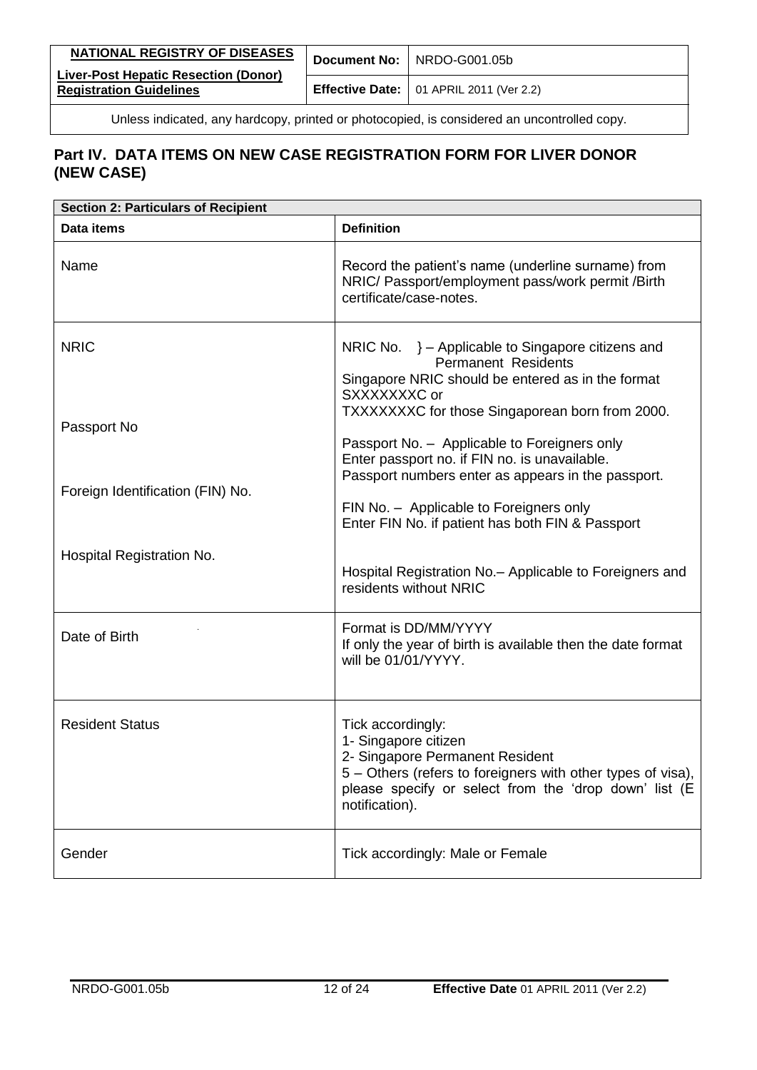| <b>NATIONAL REGISTRY OF DISEASES</b>                                          | Document No: NRDO-G001.05b                       |
|-------------------------------------------------------------------------------|--------------------------------------------------|
| <b>Liver-Post Hepatic Resection (Donor)</b><br><b>Registration Guidelines</b> | <b>Effective Date:</b>   01 APRIL 2011 (Ver 2.2) |

| <b>Section 2: Particulars of Recipient</b> |                                                                                                                                                                                                                                                                                                                                                                   |  |
|--------------------------------------------|-------------------------------------------------------------------------------------------------------------------------------------------------------------------------------------------------------------------------------------------------------------------------------------------------------------------------------------------------------------------|--|
| Data items                                 | <b>Definition</b>                                                                                                                                                                                                                                                                                                                                                 |  |
| Name                                       | Record the patient's name (underline surname) from<br>NRIC/ Passport/employment pass/work permit /Birth<br>certificate/case-notes.                                                                                                                                                                                                                                |  |
| <b>NRIC</b><br>Passport No                 | NRIC No. $\}$ – Applicable to Singapore citizens and<br><b>Permanent Residents</b><br>Singapore NRIC should be entered as in the format<br>SXXXXXXXC or<br>TXXXXXXXC for those Singaporean born from 2000.<br>Passport No. - Applicable to Foreigners only<br>Enter passport no. if FIN no. is unavailable.<br>Passport numbers enter as appears in the passport. |  |
| Foreign Identification (FIN) No.           | FIN No. - Applicable to Foreigners only<br>Enter FIN No. if patient has both FIN & Passport                                                                                                                                                                                                                                                                       |  |
| Hospital Registration No.                  | Hospital Registration No. - Applicable to Foreigners and<br>residents without NRIC                                                                                                                                                                                                                                                                                |  |
| Date of Birth                              | Format is DD/MM/YYYY<br>If only the year of birth is available then the date format<br>will be 01/01/YYYY.                                                                                                                                                                                                                                                        |  |
| <b>Resident Status</b>                     | Tick accordingly:<br>1- Singapore citizen<br>2- Singapore Permanent Resident<br>5 – Others (refers to foreigners with other types of visa),<br>please specify or select from the 'drop down' list (E<br>notification).                                                                                                                                            |  |
| Gender                                     | Tick accordingly: Male or Female                                                                                                                                                                                                                                                                                                                                  |  |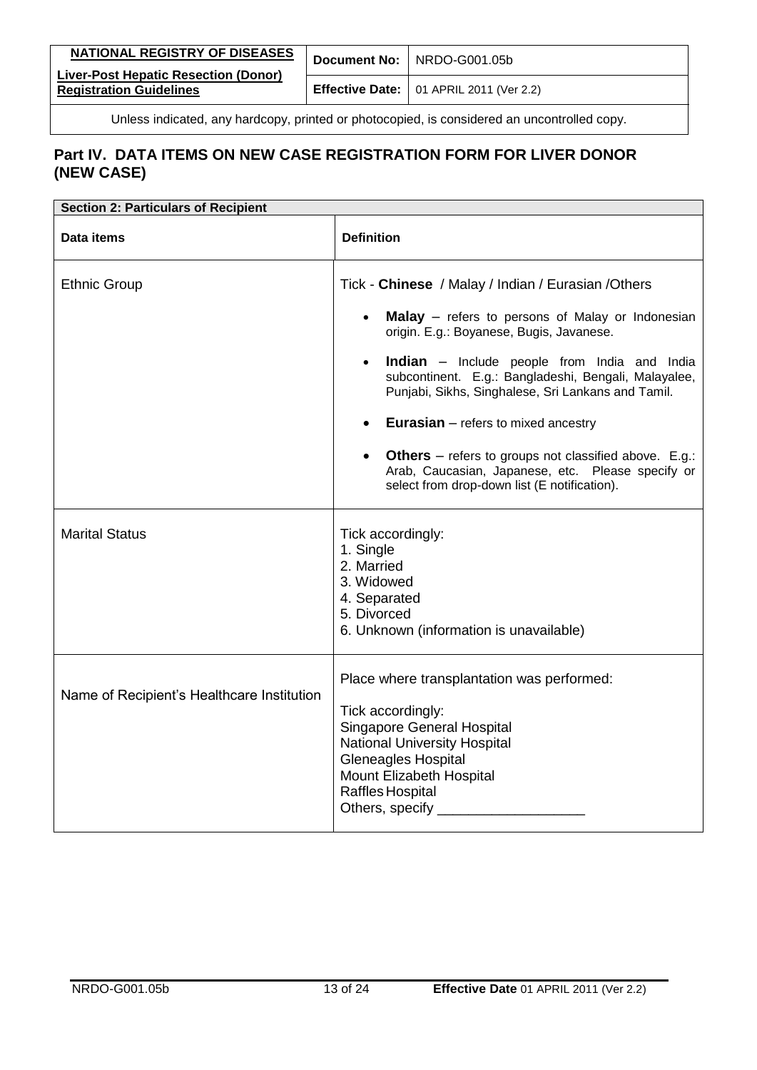| NATIONAL REGISTRY OF DISEASES<br><b>Liver-Post Hepatic Resection (Donor)</b> | Document No:   NRDO-G001.05b                     |
|------------------------------------------------------------------------------|--------------------------------------------------|
| <b>Registration Guidelines</b>                                               | <b>Effective Date:</b>   01 APRIL 2011 (Ver 2.2) |

| <b>Section 2: Particulars of Recipient</b> |                                                                                                                                                                                                                                                |  |
|--------------------------------------------|------------------------------------------------------------------------------------------------------------------------------------------------------------------------------------------------------------------------------------------------|--|
| Data items                                 | <b>Definition</b>                                                                                                                                                                                                                              |  |
| <b>Ethnic Group</b>                        | Tick - Chinese / Malay / Indian / Eurasian / Others                                                                                                                                                                                            |  |
|                                            | Malay - refers to persons of Malay or Indonesian<br>origin. E.g.: Boyanese, Bugis, Javanese.                                                                                                                                                   |  |
|                                            | Indian - Include people from India and India<br>subcontinent. E.g.: Bangladeshi, Bengali, Malayalee,<br>Punjabi, Sikhs, Singhalese, Sri Lankans and Tamil.                                                                                     |  |
|                                            | <b>Eurasian</b> $-$ refers to mixed ancestry<br>$\bullet$                                                                                                                                                                                      |  |
|                                            | <b>Others</b> – refers to groups not classified above. $E.g.:$<br>Arab, Caucasian, Japanese, etc. Please specify or<br>select from drop-down list (E notification).                                                                            |  |
| <b>Marital Status</b>                      | Tick accordingly:<br>1. Single<br>2. Married<br>3. Widowed<br>4. Separated<br>5. Divorced<br>6. Unknown (information is unavailable)                                                                                                           |  |
| Name of Recipient's Healthcare Institution | Place where transplantation was performed:<br>Tick accordingly:<br><b>Singapore General Hospital</b><br><b>National University Hospital</b><br><b>Gleneagles Hospital</b><br>Mount Elizabeth Hospital<br>Raffles Hospital<br>Others, specify _ |  |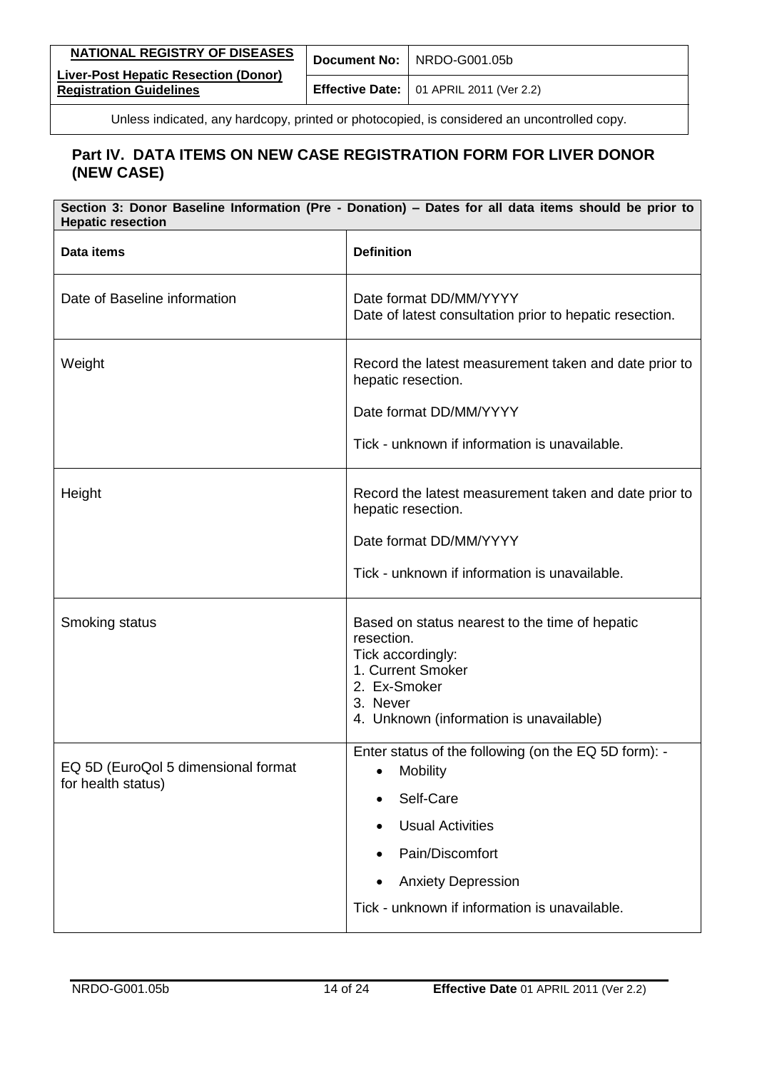| NATIONAL REGISTRY OF DISEASES                                                 | Document No: NRDO-G001.05b                             |
|-------------------------------------------------------------------------------|--------------------------------------------------------|
| <b>Liver-Post Hepatic Resection (Donor)</b><br><b>Registration Guidelines</b> | <b>Effective Date:</b> $\vert$ 01 APRIL 2011 (Ver 2.2) |

| Section 3: Donor Baseline Information (Pre - Donation) - Dates for all data items should be prior to<br><b>Hepatic resection</b> |                                                                                                                                    |
|----------------------------------------------------------------------------------------------------------------------------------|------------------------------------------------------------------------------------------------------------------------------------|
| Data items                                                                                                                       | <b>Definition</b>                                                                                                                  |
| Date of Baseline information                                                                                                     | Date format DD/MM/YYYY<br>Date of latest consultation prior to hepatic resection.                                                  |
| Weight                                                                                                                           | Record the latest measurement taken and date prior to<br>hepatic resection.                                                        |
|                                                                                                                                  | Date format DD/MM/YYYY                                                                                                             |
|                                                                                                                                  | Tick - unknown if information is unavailable.                                                                                      |
| Height                                                                                                                           | Record the latest measurement taken and date prior to<br>hepatic resection.                                                        |
|                                                                                                                                  | Date format DD/MM/YYYY                                                                                                             |
|                                                                                                                                  | Tick - unknown if information is unavailable.                                                                                      |
| Smoking status                                                                                                                   | Based on status nearest to the time of hepatic<br>resection.<br>Tick accordingly:<br>1. Current Smoker<br>2. Ex-Smoker<br>3. Never |
|                                                                                                                                  | 4. Unknown (information is unavailable)                                                                                            |
| EQ 5D (EuroQol 5 dimensional format                                                                                              | Enter status of the following (on the EQ 5D form): -<br>Mobility                                                                   |
| for health status)                                                                                                               | Self-Care                                                                                                                          |
|                                                                                                                                  | <b>Usual Activities</b>                                                                                                            |
|                                                                                                                                  | Pain/Discomfort                                                                                                                    |
|                                                                                                                                  | <b>Anxiety Depression</b>                                                                                                          |
|                                                                                                                                  | Tick - unknown if information is unavailable.                                                                                      |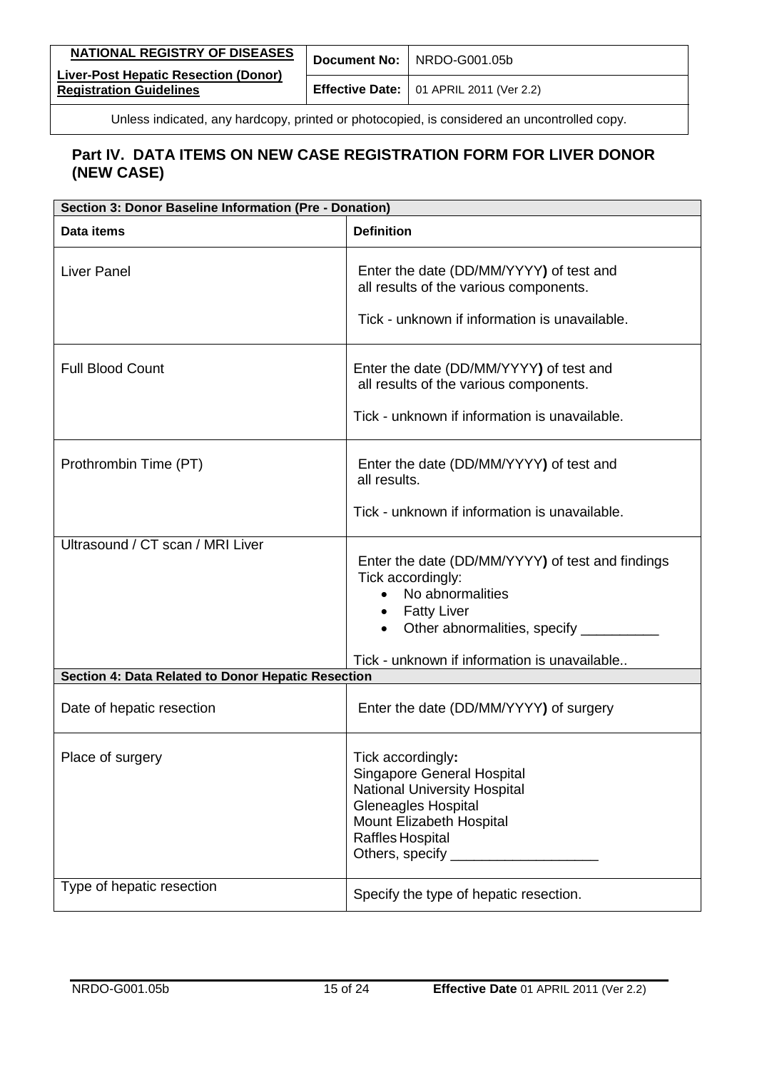| NATIONAL REGISTRY OF DISEASES                                                 | Document No: NRDO-G001.05b                             |
|-------------------------------------------------------------------------------|--------------------------------------------------------|
| <b>Liver-Post Hepatic Resection (Donor)</b><br><b>Registration Guidelines</b> | <b>Effective Date:</b> $\vert$ 01 APRIL 2011 (Ver 2.2) |

| Section 3: Donor Baseline Information (Pre - Donation)                                             |                                                                                                                                                                                         |  |
|----------------------------------------------------------------------------------------------------|-----------------------------------------------------------------------------------------------------------------------------------------------------------------------------------------|--|
| Data items                                                                                         | <b>Definition</b>                                                                                                                                                                       |  |
| <b>Liver Panel</b>                                                                                 | Enter the date (DD/MM/YYYY) of test and<br>all results of the various components.<br>Tick - unknown if information is unavailable.                                                      |  |
| <b>Full Blood Count</b>                                                                            | Enter the date (DD/MM/YYYY) of test and<br>all results of the various components.<br>Tick - unknown if information is unavailable.                                                      |  |
| Prothrombin Time (PT)                                                                              | Enter the date (DD/MM/YYYY) of test and<br>all results.<br>Tick - unknown if information is unavailable.                                                                                |  |
| Ultrasound / CT scan / MRI Liver                                                                   | Enter the date (DD/MM/YYYY) of test and findings<br>Tick accordingly:<br>No abnormalities<br>$\bullet$<br>• Fatty Liver<br>Other abnormalities, specify ____                            |  |
| Tick - unknown if information is unavailable<br>Section 4: Data Related to Donor Hepatic Resection |                                                                                                                                                                                         |  |
| Date of hepatic resection                                                                          | Enter the date (DD/MM/YYYY) of surgery                                                                                                                                                  |  |
| Place of surgery                                                                                   | Tick accordingly:<br>Singapore General Hospital<br><b>National University Hospital</b><br><b>Gleneagles Hospital</b><br>Mount Elizabeth Hospital<br>Raffles Hospital<br>Others, specify |  |
| Type of hepatic resection                                                                          | Specify the type of hepatic resection.                                                                                                                                                  |  |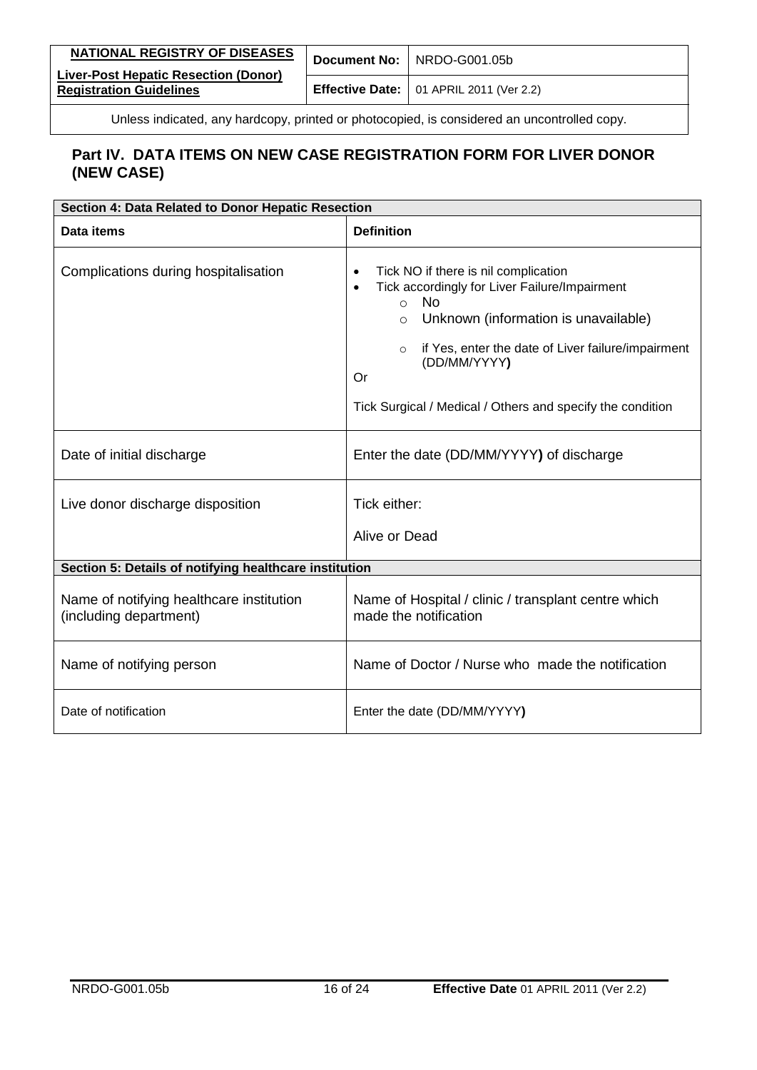| <b>NATIONAL REGISTRY OF DISEASES</b>                                          | Document No: NRDO-G001.05b                             |
|-------------------------------------------------------------------------------|--------------------------------------------------------|
| <b>Liver-Post Hepatic Resection (Donor)</b><br><b>Registration Guidelines</b> | <b>Effective Date:</b> $\vert$ 01 APRIL 2011 (Ver 2.2) |

| Section 4: Data Related to Donor Hepatic Resection                 |                                                                                                                                                                                                                                                                                                                                                   |  |
|--------------------------------------------------------------------|---------------------------------------------------------------------------------------------------------------------------------------------------------------------------------------------------------------------------------------------------------------------------------------------------------------------------------------------------|--|
| Data items                                                         | <b>Definition</b>                                                                                                                                                                                                                                                                                                                                 |  |
| Complications during hospitalisation                               | Tick NO if there is nil complication<br>$\bullet$<br>Tick accordingly for Liver Failure/Impairment<br>$\bullet$<br><b>No</b><br>$\Omega$<br>Unknown (information is unavailable)<br>$\Omega$<br>if Yes, enter the date of Liver failure/impairment<br>$\circ$<br>(DD/MM/YYYY)<br>Or<br>Tick Surgical / Medical / Others and specify the condition |  |
| Date of initial discharge                                          | Enter the date (DD/MM/YYYY) of discharge                                                                                                                                                                                                                                                                                                          |  |
| Live donor discharge disposition                                   | Tick either:<br>Alive or Dead                                                                                                                                                                                                                                                                                                                     |  |
| Section 5: Details of notifying healthcare institution             |                                                                                                                                                                                                                                                                                                                                                   |  |
| Name of notifying healthcare institution<br>(including department) | Name of Hospital / clinic / transplant centre which<br>made the notification                                                                                                                                                                                                                                                                      |  |
| Name of notifying person                                           | Name of Doctor / Nurse who made the notification                                                                                                                                                                                                                                                                                                  |  |
| Date of notification                                               | Enter the date (DD/MM/YYYY)                                                                                                                                                                                                                                                                                                                       |  |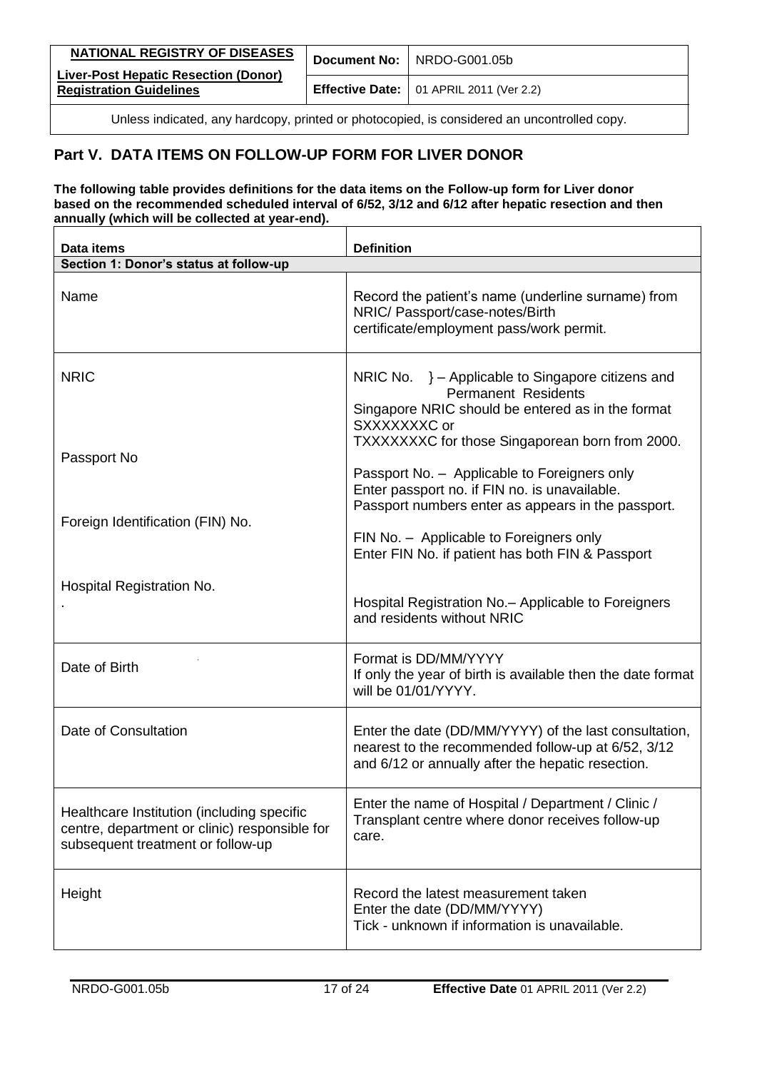| NATIONAL REGISTRY OF DISEASES                                                 | Document No: NRDO-G001.05b                             |
|-------------------------------------------------------------------------------|--------------------------------------------------------|
| <b>Liver-Post Hepatic Resection (Donor)</b><br><b>Registration Guidelines</b> | <b>Effective Date:</b> $\vert$ 01 APRIL 2011 (Ver 2.2) |

# <span id="page-16-0"></span>**Part V. DATA ITEMS ON FOLLOW-UP FORM FOR LIVER DONOR**

#### **The following table provides definitions for the data items on the Follow-up form for Liver donor based on the recommended scheduled interval of 6/52, 3/12 and 6/12 after hepatic resection and then annually (which will be collected at year-end).**

| Data items                                                                                                                       | <b>Definition</b>                                                                                                                                                                                       |
|----------------------------------------------------------------------------------------------------------------------------------|---------------------------------------------------------------------------------------------------------------------------------------------------------------------------------------------------------|
| Section 1: Donor's status at follow-up                                                                                           |                                                                                                                                                                                                         |
| Name                                                                                                                             | Record the patient's name (underline surname) from<br>NRIC/ Passport/case-notes/Birth<br>certificate/employment pass/work permit.                                                                       |
| <b>NRIC</b>                                                                                                                      | NRIC No. } - Applicable to Singapore citizens and<br><b>Permanent Residents</b><br>Singapore NRIC should be entered as in the format<br>SXXXXXXXC or<br>TXXXXXXXC for those Singaporean born from 2000. |
| Passport No                                                                                                                      | Passport No. - Applicable to Foreigners only<br>Enter passport no. if FIN no. is unavailable.<br>Passport numbers enter as appears in the passport.                                                     |
| Foreign Identification (FIN) No.                                                                                                 | FIN No. - Applicable to Foreigners only<br>Enter FIN No. if patient has both FIN & Passport                                                                                                             |
| Hospital Registration No.                                                                                                        | Hospital Registration No. - Applicable to Foreigners<br>and residents without NRIC                                                                                                                      |
| Date of Birth                                                                                                                    | Format is DD/MM/YYYY<br>If only the year of birth is available then the date format<br>will be 01/01/YYYY.                                                                                              |
| Date of Consultation                                                                                                             | Enter the date (DD/MM/YYYY) of the last consultation,<br>nearest to the recommended follow-up at 6/52, 3/12<br>and 6/12 or annually after the hepatic resection.                                        |
| Healthcare Institution (including specific<br>centre, department or clinic) responsible for<br>subsequent treatment or follow-up | Enter the name of Hospital / Department / Clinic /<br>Transplant centre where donor receives follow-up<br>care.                                                                                         |
| Height                                                                                                                           | Record the latest measurement taken<br>Enter the date (DD/MM/YYYY)<br>Tick - unknown if information is unavailable.                                                                                     |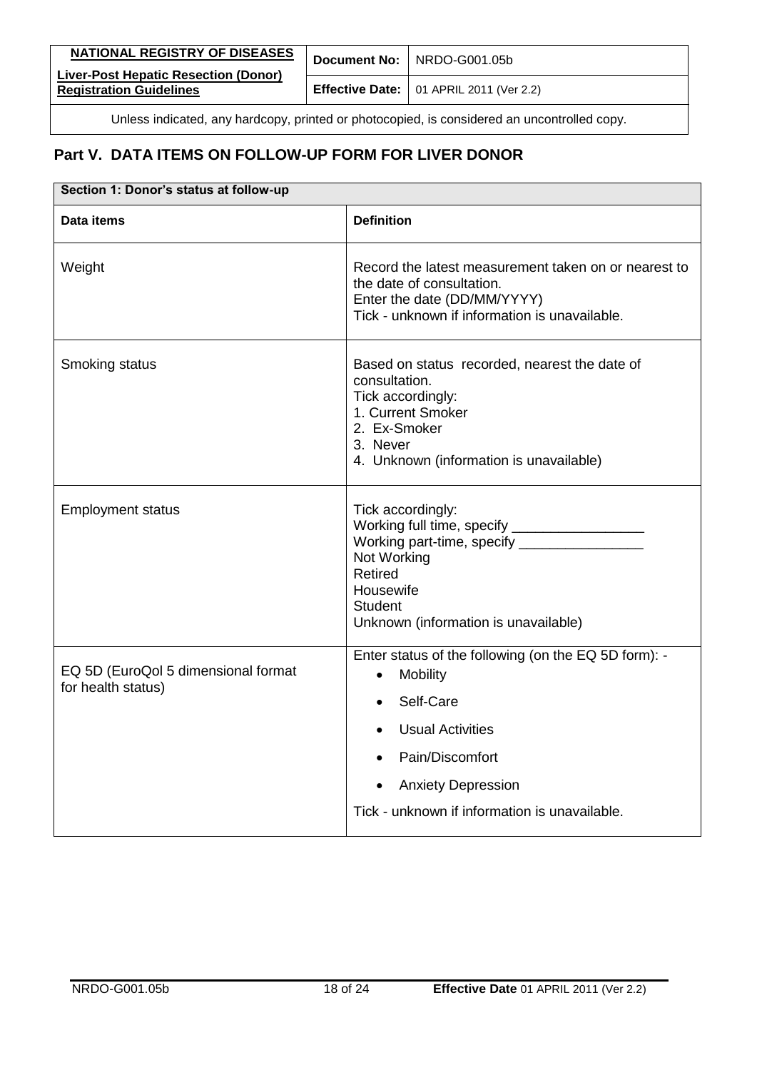| NATIONAL REGISTRY OF DISEASES                                                               |  | Document No: NRDO-G001.05b                             |
|---------------------------------------------------------------------------------------------|--|--------------------------------------------------------|
| <b>Liver-Post Hepatic Resection (Donor)</b><br><b>Registration Guidelines</b>               |  | <b>Effective Date:</b> $\vert$ 01 APRIL 2011 (Ver 2.2) |
| Unless indicated, any hardcopy, printed or photocopied, is considered an uncontrolled copy. |  |                                                        |

| Section 1: Donor's status at follow-up                    |                                                                                                                                                                                                                        |  |
|-----------------------------------------------------------|------------------------------------------------------------------------------------------------------------------------------------------------------------------------------------------------------------------------|--|
| Data items                                                | <b>Definition</b>                                                                                                                                                                                                      |  |
| Weight                                                    | Record the latest measurement taken on or nearest to<br>the date of consultation.<br>Enter the date (DD/MM/YYYY)<br>Tick - unknown if information is unavailable.                                                      |  |
| Smoking status                                            | Based on status recorded, nearest the date of<br>consultation.<br>Tick accordingly:<br>1. Current Smoker<br>2. Ex-Smoker<br>3. Never<br>4. Unknown (information is unavailable)                                        |  |
| <b>Employment status</b>                                  | Tick accordingly:<br>Working part-time, specify _____________<br>Not Working<br><b>Retired</b><br>Housewife<br><b>Student</b><br>Unknown (information is unavailable)                                                  |  |
| EQ 5D (EuroQol 5 dimensional format<br>for health status) | Enter status of the following (on the EQ 5D form): -<br>Mobility<br>$\bullet$<br>Self-Care<br><b>Usual Activities</b><br>Pain/Discomfort<br><b>Anxiety Depression</b><br>Tick - unknown if information is unavailable. |  |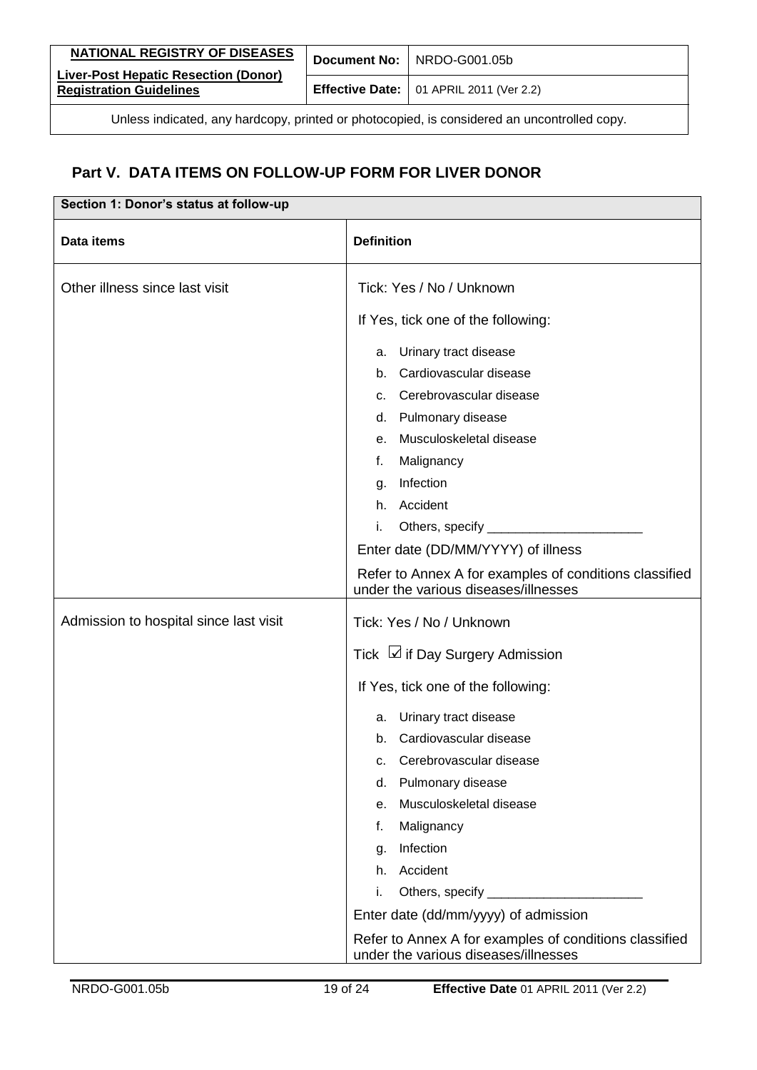| NATIONAL REGISTRY OF DISEASES                                                               |  | Document No: NRDO-G001.05b                             |
|---------------------------------------------------------------------------------------------|--|--------------------------------------------------------|
| <b>Liver-Post Hepatic Resection (Donor)</b><br><b>Registration Guidelines</b>               |  | <b>Effective Date:</b> $\vert$ 01 APRIL 2011 (Ver 2.2) |
| Unless indicated, any hardcopy, printed or photocopied, is considered an uncontrolled copy. |  |                                                        |

| Section 1: Donor's status at follow-up |                                                                                                |  |
|----------------------------------------|------------------------------------------------------------------------------------------------|--|
| Data items                             | <b>Definition</b>                                                                              |  |
| Other illness since last visit         | Tick: Yes / No / Unknown                                                                       |  |
|                                        | If Yes, tick one of the following:                                                             |  |
|                                        | Urinary tract disease<br>а.                                                                    |  |
|                                        | Cardiovascular disease<br>b.                                                                   |  |
|                                        | Cerebrovascular disease<br>C.                                                                  |  |
|                                        | d. Pulmonary disease                                                                           |  |
|                                        | Musculoskeletal disease<br>e.                                                                  |  |
|                                        | Malignancy<br>f.                                                                               |  |
|                                        | Infection<br>q.                                                                                |  |
|                                        | Accident<br>h.                                                                                 |  |
|                                        | i.                                                                                             |  |
|                                        | Enter date (DD/MM/YYYY) of illness                                                             |  |
|                                        | Refer to Annex A for examples of conditions classified<br>under the various diseases/illnesses |  |
| Admission to hospital since last visit | Tick: Yes / No / Unknown                                                                       |  |
|                                        | Tick → if Day Surgery Admission                                                                |  |
|                                        | If Yes, tick one of the following:                                                             |  |
|                                        | Urinary tract disease<br>а.                                                                    |  |
|                                        | Cardiovascular disease<br>b.                                                                   |  |
|                                        | c. Cerebrovascular disease                                                                     |  |
|                                        | d. Pulmonary disease                                                                           |  |
|                                        | Musculoskeletal disease<br>е.                                                                  |  |
|                                        | Malignancy<br>f.                                                                               |  |
|                                        | Infection<br>g.                                                                                |  |
|                                        | Accident<br>h.                                                                                 |  |
|                                        | i.                                                                                             |  |
|                                        | Enter date (dd/mm/yyyy) of admission                                                           |  |
|                                        | Refer to Annex A for examples of conditions classified<br>under the various diseases/illnesses |  |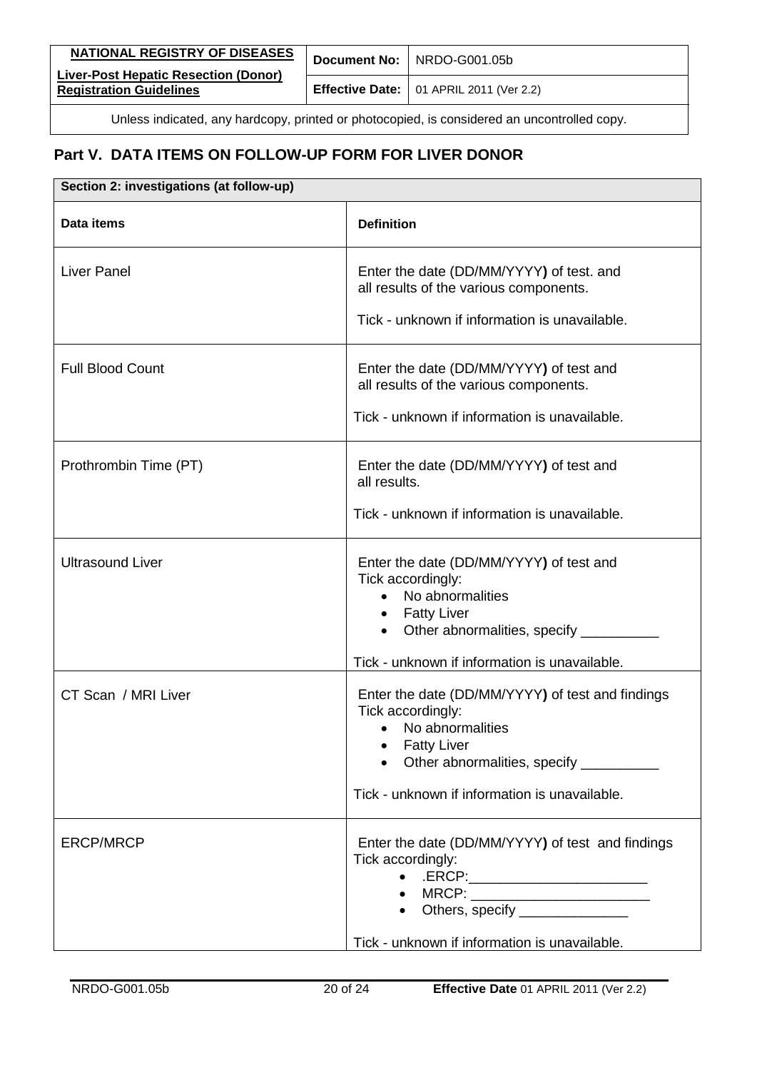| NATIONAL REGISTRY OF DISEASES                                                               |  | Document No: NRDO-G001.05b                             |
|---------------------------------------------------------------------------------------------|--|--------------------------------------------------------|
| <b>Liver-Post Hepatic Resection (Donor)</b><br><b>Registration Guidelines</b>               |  | <b>Effective Date:</b> $\vert$ 01 APRIL 2011 (Ver 2.2) |
| Unless indicated, any hardcopy, printed or photocopied, is considered an uncontrolled copy. |  |                                                        |

| Section 2: investigations (at follow-up) |                                                                                                                                                                                                                                                                                                                                                                                                                                                                                                                                                                        |  |
|------------------------------------------|------------------------------------------------------------------------------------------------------------------------------------------------------------------------------------------------------------------------------------------------------------------------------------------------------------------------------------------------------------------------------------------------------------------------------------------------------------------------------------------------------------------------------------------------------------------------|--|
| <b>Data items</b>                        | <b>Definition</b>                                                                                                                                                                                                                                                                                                                                                                                                                                                                                                                                                      |  |
| <b>Liver Panel</b>                       | Enter the date (DD/MM/YYYY) of test. and<br>all results of the various components.<br>Tick - unknown if information is unavailable.                                                                                                                                                                                                                                                                                                                                                                                                                                    |  |
| <b>Full Blood Count</b>                  | Enter the date (DD/MM/YYYY) of test and<br>all results of the various components.<br>Tick - unknown if information is unavailable.                                                                                                                                                                                                                                                                                                                                                                                                                                     |  |
| Prothrombin Time (PT)                    | Enter the date (DD/MM/YYYY) of test and<br>all results.<br>Tick - unknown if information is unavailable.                                                                                                                                                                                                                                                                                                                                                                                                                                                               |  |
| <b>Ultrasound Liver</b>                  | Enter the date (DD/MM/YYYY) of test and<br>Tick accordingly:<br>No abnormalities<br>$\bullet$<br>• Fatty Liver<br>Other abnormalities, specify __________<br>Tick - unknown if information is unavailable.                                                                                                                                                                                                                                                                                                                                                             |  |
| CT Scan / MRI Liver                      | Enter the date (DD/MM/YYYY) of test and findings<br>Tick accordingly:<br>No abnormalities<br><b>Fatty Liver</b><br>Other abnormalities, specify ___________<br>Tick - unknown if information is unavailable.                                                                                                                                                                                                                                                                                                                                                           |  |
| <b>ERCP/MRCP</b>                         | Enter the date (DD/MM/YYYY) of test and findings<br>Tick accordingly:<br>$\begin{picture}(20,10) \put(0,0){\vector(1,0){100}} \put(15,0){\vector(1,0){100}} \put(15,0){\vector(1,0){100}} \put(15,0){\vector(1,0){100}} \put(15,0){\vector(1,0){100}} \put(15,0){\vector(1,0){100}} \put(15,0){\vector(1,0){100}} \put(15,0){\vector(1,0){100}} \put(15,0){\vector(1,0){100}} \put(15,0){\vector(1,0){100}} \put(15,0){\vector(1,0){100}} \$<br>• MRCP: _________________________<br>• Others, specify ______________<br>Tick - unknown if information is unavailable. |  |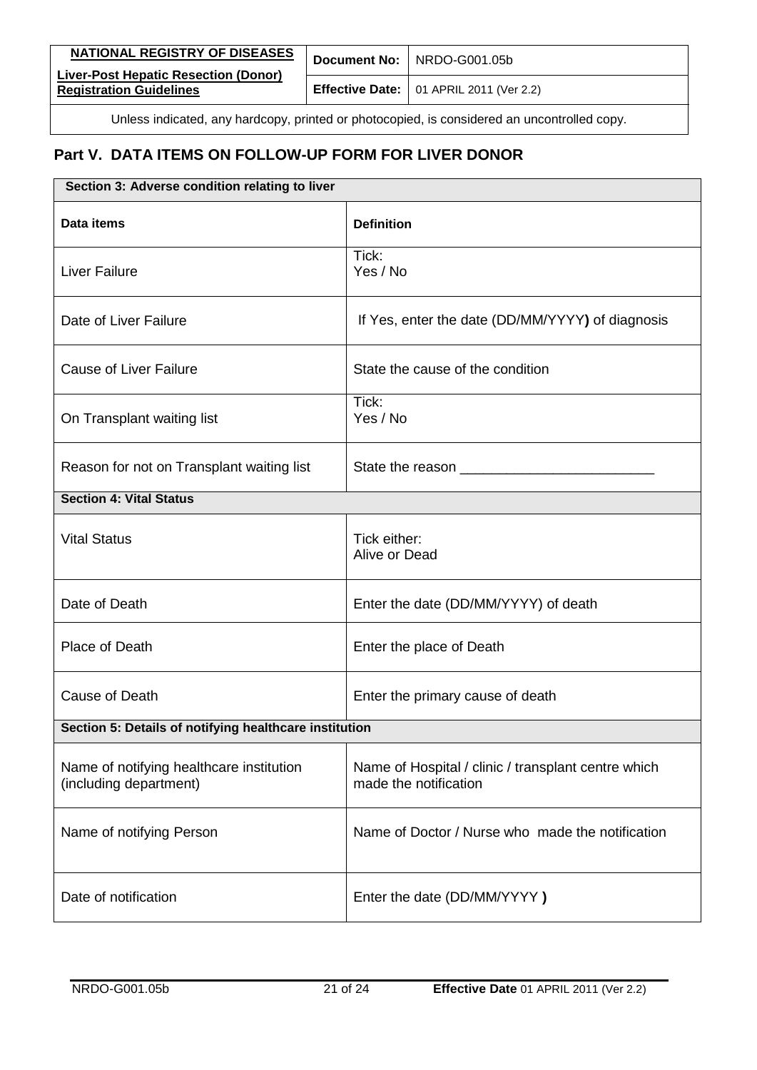| <b>NATIONAL REGISTRY OF DISEASES</b>                                                        |  | Document No: NRDO-G001.05b                             |
|---------------------------------------------------------------------------------------------|--|--------------------------------------------------------|
| <b>Liver-Post Hepatic Resection (Donor)</b><br><b>Registration Guidelines</b>               |  | <b>Effective Date:</b> $\vert$ 01 APRIL 2011 (Ver 2.2) |
| Unless indicated, any hardcopy, printed or photocopied, is considered an uncontrolled copy. |  |                                                        |

| Section 3: Adverse condition relating to liver                     |                                                                              |  |
|--------------------------------------------------------------------|------------------------------------------------------------------------------|--|
| Data items                                                         | <b>Definition</b>                                                            |  |
| <b>Liver Failure</b>                                               | Tick:<br>Yes / No                                                            |  |
| Date of Liver Failure                                              | If Yes, enter the date (DD/MM/YYYY) of diagnosis                             |  |
| <b>Cause of Liver Failure</b>                                      | State the cause of the condition                                             |  |
| On Transplant waiting list                                         | Tick:<br>Yes / No                                                            |  |
| Reason for not on Transplant waiting list                          | State the reason                                                             |  |
| <b>Section 4: Vital Status</b>                                     |                                                                              |  |
| <b>Vital Status</b>                                                | Tick either:<br>Alive or Dead                                                |  |
| Date of Death                                                      | Enter the date (DD/MM/YYYY) of death                                         |  |
| Place of Death                                                     | Enter the place of Death                                                     |  |
| Cause of Death                                                     | Enter the primary cause of death                                             |  |
| Section 5: Details of notifying healthcare institution             |                                                                              |  |
| Name of notifying healthcare institution<br>(including department) | Name of Hospital / clinic / transplant centre which<br>made the notification |  |
| Name of notifying Person                                           | Name of Doctor / Nurse who made the notification                             |  |
| Date of notification                                               | Enter the date (DD/MM/YYYY)                                                  |  |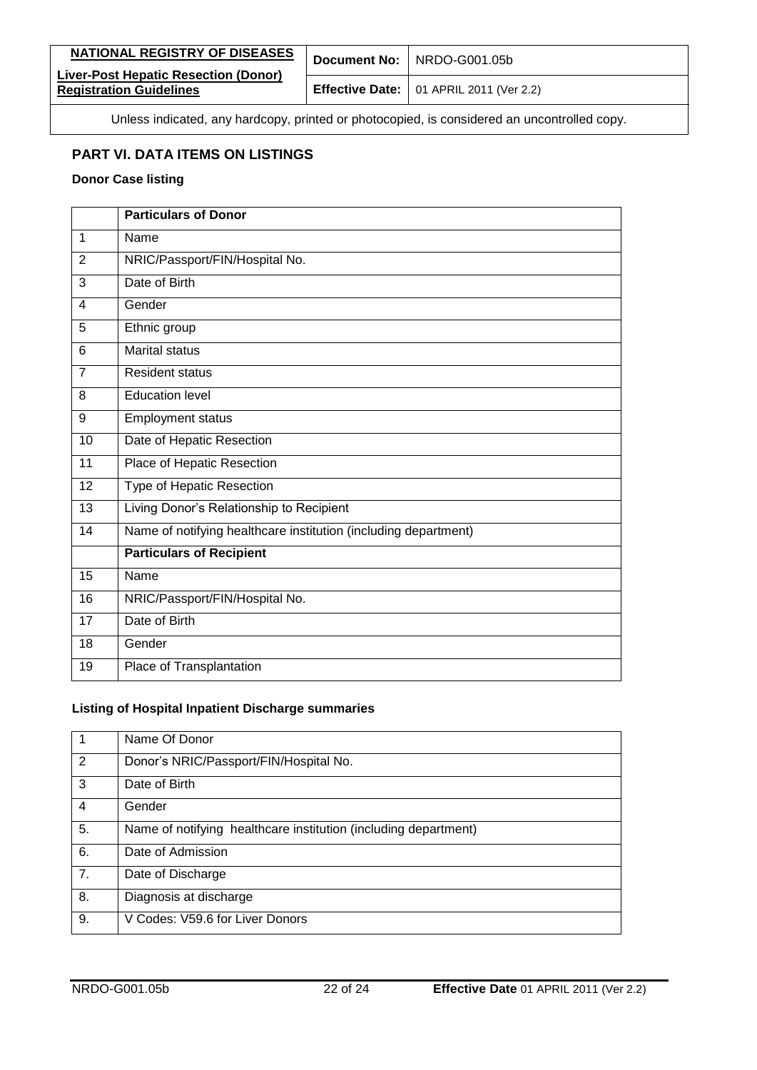| NATIONAL REGISTRY OF DISEASES                                                               |  | Document No: NRDO-G001.05b                             |
|---------------------------------------------------------------------------------------------|--|--------------------------------------------------------|
| Liver-Post Hepatic Resection (Donor)<br><b>Registration Guidelines</b>                      |  | <b>Effective Date:</b> $\vert$ 01 APRIL 2011 (Ver 2.2) |
| Unless indicated, any hardcopy, printed or photocopied, is considered an uncontrolled copy. |  |                                                        |

#### <span id="page-21-0"></span>**PART VI. DATA ITEMS ON LISTINGS**

#### **Donor Case listing**

|                | <b>Particulars of Donor</b>                                     |
|----------------|-----------------------------------------------------------------|
| $\mathbf 1$    | Name                                                            |
| 2              | NRIC/Passport/FIN/Hospital No.                                  |
| 3              | Date of Birth                                                   |
| 4              | Gender                                                          |
| 5              | Ethnic group                                                    |
| 6              | <b>Marital status</b>                                           |
| $\overline{7}$ | Resident status                                                 |
| 8              | <b>Education level</b>                                          |
| 9              | Employment status                                               |
| 10             | Date of Hepatic Resection                                       |
| 11             | Place of Hepatic Resection                                      |
| 12             | Type of Hepatic Resection                                       |
| 13             | Living Donor's Relationship to Recipient                        |
| 14             | Name of notifying healthcare institution (including department) |
|                | <b>Particulars of Recipient</b>                                 |
| 15             | Name                                                            |
| 16             | NRIC/Passport/FIN/Hospital No.                                  |
| 17             | Date of Birth                                                   |
| 18             | Gender                                                          |
| 19             | Place of Transplantation                                        |

#### **Listing of Hospital Inpatient Discharge summaries**

|    | Name Of Donor                                                   |
|----|-----------------------------------------------------------------|
| 2  | Donor's NRIC/Passport/FIN/Hospital No.                          |
| 3  | Date of Birth                                                   |
| 4  | Gender                                                          |
| 5. | Name of notifying healthcare institution (including department) |
| 6. | Date of Admission                                               |
| 7. | Date of Discharge                                               |
| 8. | Diagnosis at discharge                                          |
| 9. | V Codes: V59.6 for Liver Donors                                 |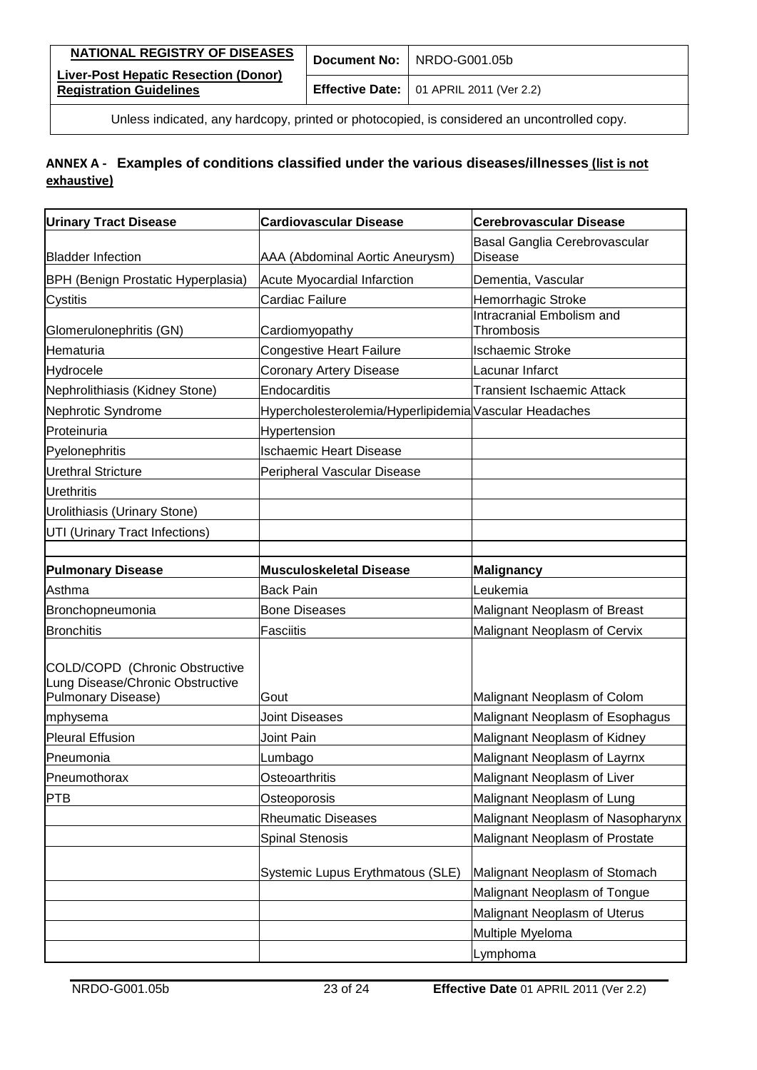| <b>NATIONAL REGISTRY OF DISEASES</b>                                                        |  | Document No: NRDO-G001.05b                             |
|---------------------------------------------------------------------------------------------|--|--------------------------------------------------------|
| Liver-Post Hepatic Resection (Donor)<br><b>Registration Guidelines</b>                      |  | <b>Effective Date:</b> $\vert$ 01 APRIL 2011 (Ver 2.2) |
| Unless indicated, any hardcopy, printed or photocopied, is considered an uncontrolled copy. |  |                                                        |

### <span id="page-22-0"></span>**ANNEX A - Examples of conditions classified under the various diseases/illnesses (list is not exhaustive)**

| <b>Urinary Tract Disease</b>                                                                    | <b>Cardiovascular Disease</b>                          | <b>Cerebrovascular Disease</b>           |
|-------------------------------------------------------------------------------------------------|--------------------------------------------------------|------------------------------------------|
| <b>Bladder Infection</b>                                                                        | AAA (Abdominal Aortic Aneurysm)                        | Basal Ganglia Cerebrovascular<br>Disease |
| <b>BPH (Benign Prostatic Hyperplasia)</b>                                                       | <b>Acute Myocardial Infarction</b>                     | Dementia, Vascular                       |
| Cystitis                                                                                        | Cardiac Failure                                        | Hemorrhagic Stroke                       |
| Glomerulonephritis (GN)                                                                         | Cardiomyopathy                                         | Intracranial Embolism and<br>Thrombosis  |
| Hematuria                                                                                       | <b>Congestive Heart Failure</b>                        | <b>Ischaemic Stroke</b>                  |
| Hydrocele                                                                                       | Coronary Artery Disease                                | Lacunar Infarct                          |
| Nephrolithiasis (Kidney Stone)                                                                  | Endocarditis                                           | <b>Transient Ischaemic Attack</b>        |
| Nephrotic Syndrome                                                                              | Hypercholesterolemia/Hyperlipidemia Vascular Headaches |                                          |
| Proteinuria                                                                                     | Hypertension                                           |                                          |
| Pyelonephritis                                                                                  | <b>Ischaemic Heart Disease</b>                         |                                          |
| <b>Urethral Stricture</b>                                                                       | Peripheral Vascular Disease                            |                                          |
| <b>Urethritis</b>                                                                               |                                                        |                                          |
| Urolithiasis (Urinary Stone)                                                                    |                                                        |                                          |
| UTI (Urinary Tract Infections)                                                                  |                                                        |                                          |
|                                                                                                 |                                                        |                                          |
| <b>Pulmonary Disease</b>                                                                        | <b>Musculoskeletal Disease</b>                         | Malignancy                               |
| Asthma                                                                                          | <b>Back Pain</b>                                       | Leukemia                                 |
| Bronchopneumonia                                                                                | <b>Bone Diseases</b>                                   | Malignant Neoplasm of Breast             |
| <b>Bronchitis</b>                                                                               | Fasciitis                                              | Malignant Neoplasm of Cervix             |
| COLD/COPD (Chronic Obstructive<br>Lung Disease/Chronic Obstructive<br><b>Pulmonary Disease)</b> | Gout                                                   | Malignant Neoplasm of Colom              |
| mphysema                                                                                        | <b>Joint Diseases</b>                                  | Malignant Neoplasm of Esophagus          |
| <b>Pleural Effusion</b>                                                                         | <b>Joint Pain</b>                                      | Malignant Neoplasm of Kidney             |
| Pneumonia                                                                                       | Lumbago                                                | Malignant Neoplasm of Layrnx             |
| Pneumothorax                                                                                    | Osteoarthritis                                         | Malignant Neoplasm of Liver              |
| IPTB                                                                                            | Osteoporosis                                           | Malignant Neoplasm of Lung               |
|                                                                                                 | <b>Rheumatic Diseases</b>                              | Malignant Neoplasm of Nasopharynx        |
|                                                                                                 | <b>Spinal Stenosis</b>                                 | Malignant Neoplasm of Prostate           |
|                                                                                                 | Systemic Lupus Erythmatous (SLE)                       | Malignant Neoplasm of Stomach            |
|                                                                                                 |                                                        | Malignant Neoplasm of Tongue             |
|                                                                                                 |                                                        | Malignant Neoplasm of Uterus             |
|                                                                                                 |                                                        | Multiple Myeloma                         |
|                                                                                                 |                                                        | Lymphoma                                 |